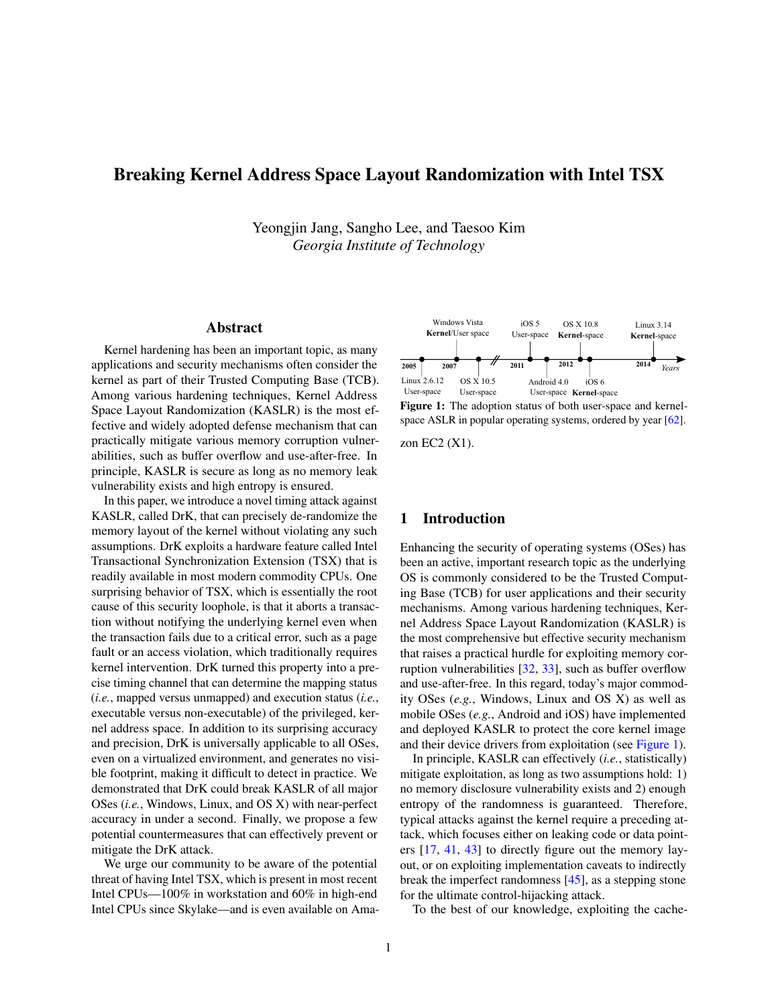# Breaking Kernel Address Space Layout Randomization with Intel TSX

Yeongjin Jang, Sangho Lee, and Taesoo Kim *Georgia Institute of Technology*

# Abstract

Kernel hardening has been an important topic, as many applications and security mechanisms often consider the kernel as part of their Trusted Computing Base (TCB). Among various hardening techniques, Kernel Address Space Layout Randomization (KASLR) is the most effective and widely adopted defense mechanism that can practically mitigate various memory corruption vulnerabilities, such as buffer overflow and use-after-free. In principle, KASLR is secure as long as no memory leak vulnerability exists and high entropy is ensured.

In this paper, we introduce a novel timing attack against KASLR, called DrK, that can precisely de-randomize the memory layout of the kernel without violating any such assumptions. DrK exploits a hardware feature called Intel Transactional Synchronization Extension (TSX) that is readily available in most modern commodity CPUs. One surprising behavior of TSX, which is essentially the root cause of this security loophole, is that it aborts a transaction without notifying the underlying kernel even when the transaction fails due to a critical error, such as a page fault or an access violation, which traditionally requires kernel intervention. DrK turned this property into a precise timing channel that can determine the mapping status (*i.e.*, mapped versus unmapped) and execution status (*i.e.*, executable versus non-executable) of the privileged, kernel address space. In addition to its surprising accuracy and precision, DrK is universally applicable to all OSes, even on a virtualized environment, and generates no visible footprint, making it difficult to detect in practice. We demonstrated that DrK could break KASLR of all major OSes (*i.e.*, Windows, Linux, and OS X) with near-perfect accuracy in under a second. Finally, we propose a few potential countermeasures that can effectively prevent or mitigate the DrK attack. **Abstract**<br> **Example Tank and the mean important topic, as many whenes vista-<br>
applications and security mechanisms often consider the**  $\frac{1}{2000}$ **<br>
Alternal as part of their Trusted Computing Base (TCB). Limited \frac{1}{20** 

We urge our community to be aware of the potential threat of having Intel TSX, which is present in most recent Intel CPUs—100% in workstation and 60% in high-end

<span id="page-0-0"></span>

Figure 1: The adoption status of both user-space and kernelspace ASLR in popular operating systems, ordered by year [\[62\]](#page-15-0).

zon  $EC2(X1)$ .

#### 1 Introduction

Enhancing the security of operating systems (OSes) has been an active, important research topic as the underlying OS is commonly considered to be the Trusted Computing Base (TCB) for user applications and their security mechanisms. Among various hardening techniques, Kernel Address Space Layout Randomization (KASLR) is the most comprehensive but effective security mechanism that raises a practical hurdle for exploiting memory corruption vulnerabilities [\[32,](#page-15-1) [33\]](#page-15-2), such as buffer overflow and use-after-free. In this regard, today's major commodity OSes (*e.g.*, Windows, Linux and OS X) as well as mobile OSes (*e.g.*, Android and iOS) have implemented and deployed KASLR to protect the core kernel image and their device drivers from exploitation (see [Figure 1\)](#page-0-0).

In principle, KASLR can effectively (*i.e.*, statistically) mitigate exploitation, as long as two assumptions hold: 1) no memory disclosure vulnerability exists and 2) enough entropy of the randomness is guaranteed. Therefore, typical attacks against the kernel require a preceding attack, which focuses either on leaking code or data pointers [\[17,](#page-14-0) [41,](#page-15-3) [43\]](#page-15-4) to directly figure out the memory layout, or on exploiting implementation caveats to indirectly break the imperfect randomness [\[45\]](#page-15-5), as a stepping stone for the ultimate control-hijacking attack.

To the best of our knowledge, exploiting the cache-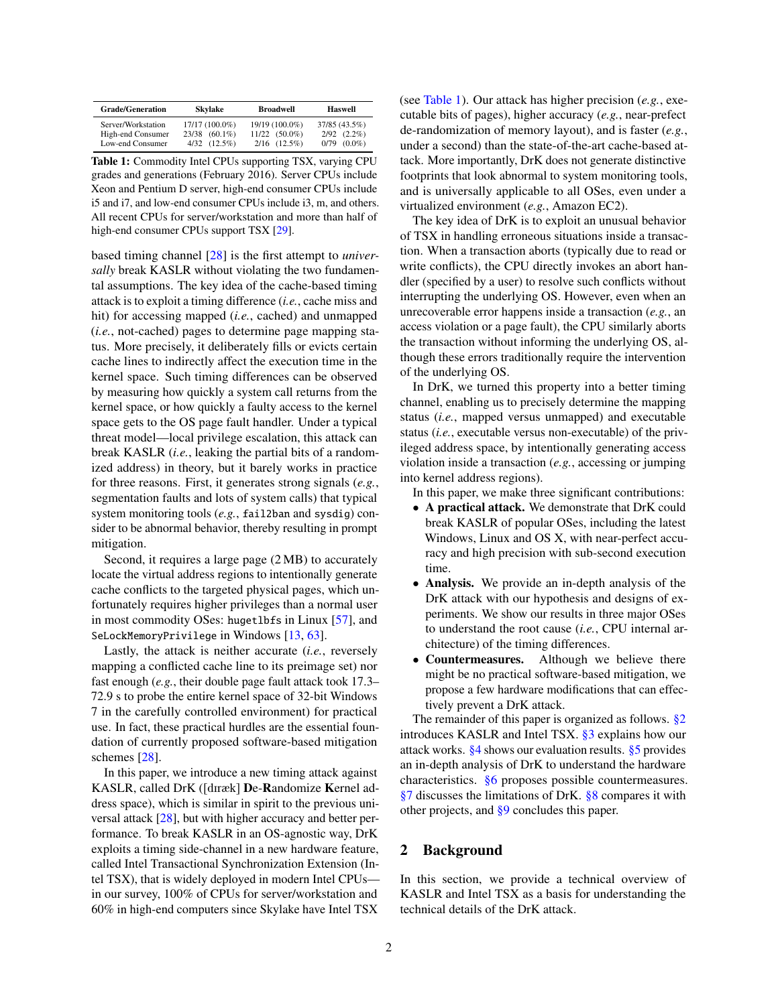<span id="page-1-0"></span>

| <b>Grade/Generation</b>                                     | Skylake                                                   | <b>Broadwell</b>                                          | <b>Haswell</b>                                         |  |  |
|-------------------------------------------------------------|-----------------------------------------------------------|-----------------------------------------------------------|--------------------------------------------------------|--|--|
| Server/Workstation<br>High-end Consumer<br>Low-end Consumer | 17/17 (100.0%)<br>$23/38$ $(60.1\%)$<br>$4/32$ $(12.5\%)$ | 19/19 (100.0%)<br>$11/22$ $(50.0\%)$<br>$2/16$ $(12.5\%)$ | 37/85 (43.5%)<br>$2/92$ $(2.2\%)$<br>$(0.0\%)$<br>0/79 |  |  |

Table 1: Commodity Intel CPUs supporting TSX, varying CPU grades and generations (February 2016). Server CPUs include Xeon and Pentium D server, high-end consumer CPUs include i5 and i7, and low-end consumer CPUs include i3, m, and others. All recent CPUs for server/workstation and more than half of high-end consumer CPUs support TSX [\[29\]](#page-15-6).

based timing channel [\[28\]](#page-15-7) is the first attempt to *universally* break KASLR without violating the two fundamental assumptions. The key idea of the cache-based timing attack is to exploit a timing difference (*i.e.*, cache miss and hit) for accessing mapped (*i.e.*, cached) and unmapped (*i.e.*, not-cached) pages to determine page mapping status. More precisely, it deliberately fills or evicts certain cache lines to indirectly affect the execution time in the kernel space. Such timing differences can be observed by measuring how quickly a system call returns from the kernel space, or how quickly a faulty access to the kernel space gets to the OS page fault handler. Under a typical threat model—local privilege escalation, this attack can break KASLR (*i.e.*, leaking the partial bits of a randomized address) in theory, but it barely works in practice for three reasons. First, it generates strong signals (*e.g.*, segmentation faults and lots of system calls) that typical system monitoring tools (*e.g.*, fail2ban and sysdig) consider to be abnormal behavior, thereby resulting in prompt mitigation.

Second, it requires a large page (2 MB) to accurately locate the virtual address regions to intentionally generate cache conflicts to the targeted physical pages, which unfortunately requires higher privileges than a normal user in most commodity OSes: hugetlbfs in Linux [\[57\]](#page-15-8), and SeLockMemoryPrivilege in Windows [\[13,](#page-14-1) [63\]](#page-15-9).

Lastly, the attack is neither accurate (*i.e.*, reversely mapping a conflicted cache line to its preimage set) nor fast enough (*e.g.*, their double page fault attack took 17.3– 72.9 s to probe the entire kernel space of 32-bit Windows 7 in the carefully controlled environment) for practical use. In fact, these practical hurdles are the essential foundation of currently proposed software-based mitigation schemes [\[28\]](#page-15-7).

In this paper, we introduce a new timing attack against KASLR, called DrK ([dɪræk] De-Randomize Kernel address space), which is similar in spirit to the previous universal attack [\[28\]](#page-15-7), but with higher accuracy and better performance. To break KASLR in an OS-agnostic way, DrK exploits a timing side-channel in a new hardware feature, called Intel Transactional Synchronization Extension (Intel TSX), that is widely deployed in modern Intel CPUs in our survey, 100% of CPUs for server/workstation and 60% in high-end computers since Skylake have Intel TSX

(see [Table 1\)](#page-1-0). Our attack has higher precision (*e.g.*, executable bits of pages), higher accuracy (*e.g.*, near-prefect de-randomization of memory layout), and is faster (*e.g.*, under a second) than the state-of-the-art cache-based attack. More importantly, DrK does not generate distinctive footprints that look abnormal to system monitoring tools, and is universally applicable to all OSes, even under a virtualized environment (*e.g.*, Amazon EC2).

The key idea of DrK is to exploit an unusual behavior of TSX in handling erroneous situations inside a transaction. When a transaction aborts (typically due to read or write conflicts), the CPU directly invokes an abort handler (specified by a user) to resolve such conflicts without interrupting the underlying OS. However, even when an unrecoverable error happens inside a transaction (*e.g.*, an access violation or a page fault), the CPU similarly aborts the transaction without informing the underlying OS, although these errors traditionally require the intervention of the underlying OS.

In DrK, we turned this property into a better timing channel, enabling us to precisely determine the mapping status (*i.e.*, mapped versus unmapped) and executable status (*i.e.*, executable versus non-executable) of the privileged address space, by intentionally generating access violation inside a transaction (*e.g.*, accessing or jumping into kernel address regions).

In this paper, we make three significant contributions:

- A practical attack. We demonstrate that DrK could break KASLR of popular OSes, including the latest Windows, Linux and OS X, with near-perfect accuracy and high precision with sub-second execution time.
- Analysis. We provide an in-depth analysis of the DrK attack with our hypothesis and designs of experiments. We show our results in three major OSes to understand the root cause (*i.e.*, CPU internal architecture) of the timing differences.
- Countermeasures. Although we believe there might be no practical software-based mitigation, we propose a few hardware modifications that can effectively prevent a DrK attack.

The remainder of this paper is organized as follows. [§2](#page-1-1) introduces KASLR and Intel TSX. [§3](#page-3-0) explains how our attack works. [§4](#page-5-0) shows our evaluation results. [§5](#page-10-0) provides an in-depth analysis of DrK to understand the hardware characteristics. [§6](#page-11-0) proposes possible countermeasures. [§7](#page-12-0) discusses the limitations of DrK. [§8](#page-13-0) compares it with other projects, and [§9](#page-14-2) concludes this paper.

## <span id="page-1-1"></span>2 Background

In this section, we provide a technical overview of KASLR and Intel TSX as a basis for understanding the technical details of the DrK attack.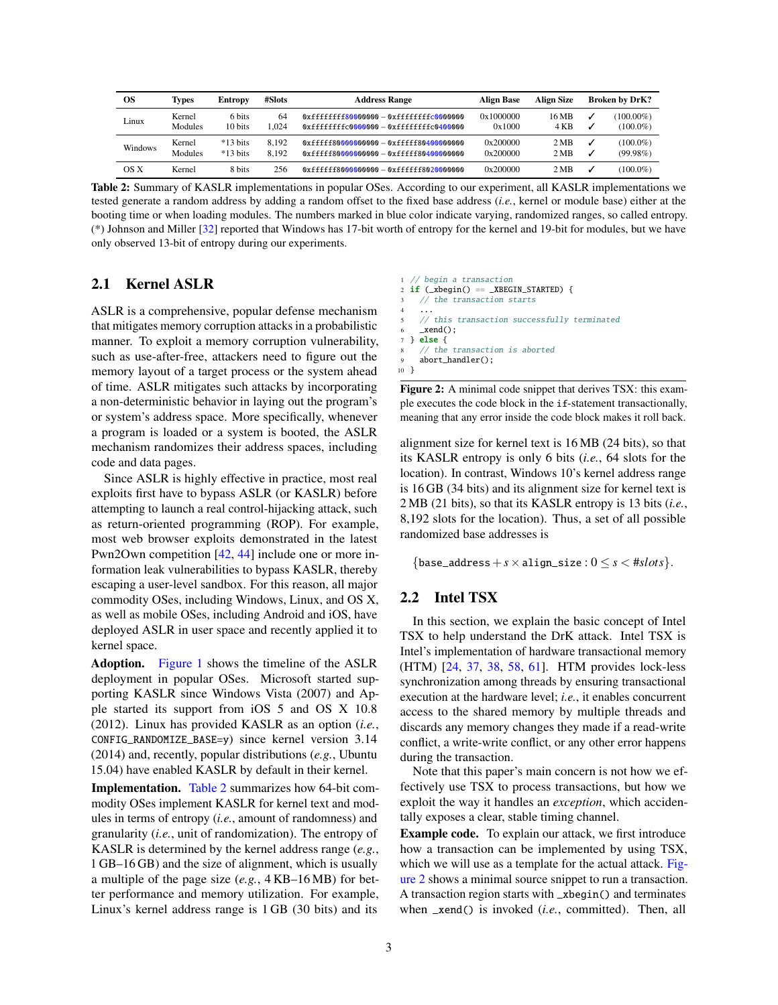<span id="page-2-0"></span>

| OS      | <b>Types</b>      | Entropy                                  | #Slots         | <b>Address Range</b>                                                                                  | <b>Align Base</b>    | Align Size                         | <b>Broken by DrK?</b>       |
|---------|-------------------|------------------------------------------|----------------|-------------------------------------------------------------------------------------------------------|----------------------|------------------------------------|-----------------------------|
| Linux   | Kernel<br>Modules | 6 bits<br>10 bits                        | 64<br>1.024    | Nxffffffff <mark>8NNNNNN0 - NxffffffffcNNNNNNN</mark><br>$Qxfffffffffcb0000000 - Qxfffffffffc0400000$ | 0x1000000<br>0x1000  | 16 MB<br>4 KB                      | $(100.00\%)$<br>$(100.0\%)$ |
| Windows | Kernel<br>Modules | $*13 \text{ bits}$<br>$*13 \text{ bits}$ | 8.192<br>8.192 | $0xfffff800000000000 - 0xfffff80400000000$<br>$0xfffff80000000000 - 0xfffff80400000000$               | 0x200000<br>0x200000 | 2 <sub>MB</sub><br>2 <sub>MB</sub> | $(100.0\%)$<br>$(99.98\%)$  |
| OS X    | Kernel            | 8 bits                                   | 256            | 0xffffff8000000000 - 0xffffff8020000000                                                               | 0x200000             | 2 <sub>MB</sub>                    | $(100.0\%)$                 |

Table 2: Summary of KASLR implementations in popular OSes. According to our experiment, all KASLR implementations we tested generate a random address by adding a random offset to the fixed base address (*i.e.*, kernel or module base) either at the booting time or when loading modules. The numbers marked in blue color indicate varying, randomized ranges, so called entropy. (\*) Johnson and Miller [\[32\]](#page-15-1) reported that Windows has 17-bit worth of entropy for the kernel and 19-bit for modules, but we have only observed 13-bit of entropy during our experiments.

# 2.1 Kernel ASLR

ASLR is a comprehensive, popular defense mechanism that mitigates memory corruption attacks in a probabilistic manner. To exploit a memory corruption vulnerability, such as use-after-free, attackers need to figure out the memory layout of a target process or the system ahead of time. ASLR mitigates such attacks by incorporating a non-deterministic behavior in laying out the program's or system's address space. More specifically, whenever a program is loaded or a system is booted, the ASLR mechanism randomizes their address spaces, including code and data pages.

Since ASLR is highly effective in practice, most real exploits first have to bypass ASLR (or KASLR) before attempting to launch a real control-hijacking attack, such as return-oriented programming (ROP). For example, most web browser exploits demonstrated in the latest Pwn2Own competition [\[42,](#page-15-10) [44\]](#page-15-11) include one or more information leak vulnerabilities to bypass KASLR, thereby escaping a user-level sandbox. For this reason, all major commodity OSes, including Windows, Linux, and OS X, as well as mobile OSes, including Android and iOS, have deployed ASLR in user space and recently applied it to kernel space.

Adoption. [Figure 1](#page-0-0) shows the timeline of the ASLR deployment in popular OSes. Microsoft started supporting KASLR since Windows Vista (2007) and Apple started its support from iOS 5 and OS X 10.8 (2012). Linux has provided KASLR as an option (*i.e.*, CONFIG\_RANDOMIZE\_BASE=y) since kernel version 3.14 (2014) and, recently, popular distributions (*e.g.*, Ubuntu 15.04) have enabled KASLR by default in their kernel.

Implementation. [Table 2](#page-2-0) summarizes how 64-bit commodity OSes implement KASLR for kernel text and modules in terms of entropy (*i.e.*, amount of randomness) and granularity (*i.e.*, unit of randomization). The entropy of KASLR is determined by the kernel address range (*e.g.*, 1 GB–16 GB) and the size of alignment, which is usually a multiple of the page size (*e.g.*, 4 KB–16 MB) for better performance and memory utilization. For example, Linux's kernel address range is 1 GB (30 bits) and its

```
1 // begin a transaction
2 \text{ if } (\underline{\hspace{1mm}} \text{xbegin}() == \underline{\hspace{1mm}} \text{XBEGIN}\underline{\hspace{1mm}} \text{STARTED}}) \end{cases}// the transaction starts
 4 ...
       // this transaction successfully terminated
   xend();<br>} else {
      else f// the transaction is aborted
       abort handler():
10 }
```
Figure 2: A minimal code snippet that derives TSX: this example executes the code block in the if-statement transactionally, meaning that any error inside the code block makes it roll back.

alignment size for kernel text is 16 MB (24 bits), so that its KASLR entropy is only 6 bits (*i.e.*, 64 slots for the location). In contrast, Windows 10's kernel address range is 16 GB (34 bits) and its alignment size for kernel text is 2 MB (21 bits), so that its KASLR entropy is 13 bits (*i.e.*, 8,192 slots for the location). Thus, a set of all possible randomized base addresses is

 $\{base\_address + s \times align\_size : 0 \leq s < #s lots\}.$ 

#### <span id="page-2-2"></span>2.2 Intel TSX

In this section, we explain the basic concept of Intel TSX to help understand the DrK attack. Intel TSX is Intel's implementation of hardware transactional memory (HTM) [\[24,](#page-14-3) [37,](#page-15-12) [38,](#page-15-13) [58,](#page-15-14) [61\]](#page-15-15). HTM provides lock-less synchronization among threads by ensuring transactional execution at the hardware level; *i.e.*, it enables concurrent access to the shared memory by multiple threads and discards any memory changes they made if a read-write conflict, a write-write conflict, or any other error happens during the transaction.

Note that this paper's main concern is not how we effectively use TSX to process transactions, but how we exploit the way it handles an *exception*, which accidentally exposes a clear, stable timing channel.

Example code. To explain our attack, we first introduce how a transaction can be implemented by using TSX, which we will use as a template for the actual attack. [Fig](#page-2-1)[ure 2](#page-2-1) shows a minimal source snippet to run a transaction. A transaction region starts with \_xbegin() and terminates when \_xend() is invoked (*i.e.*, committed). Then, all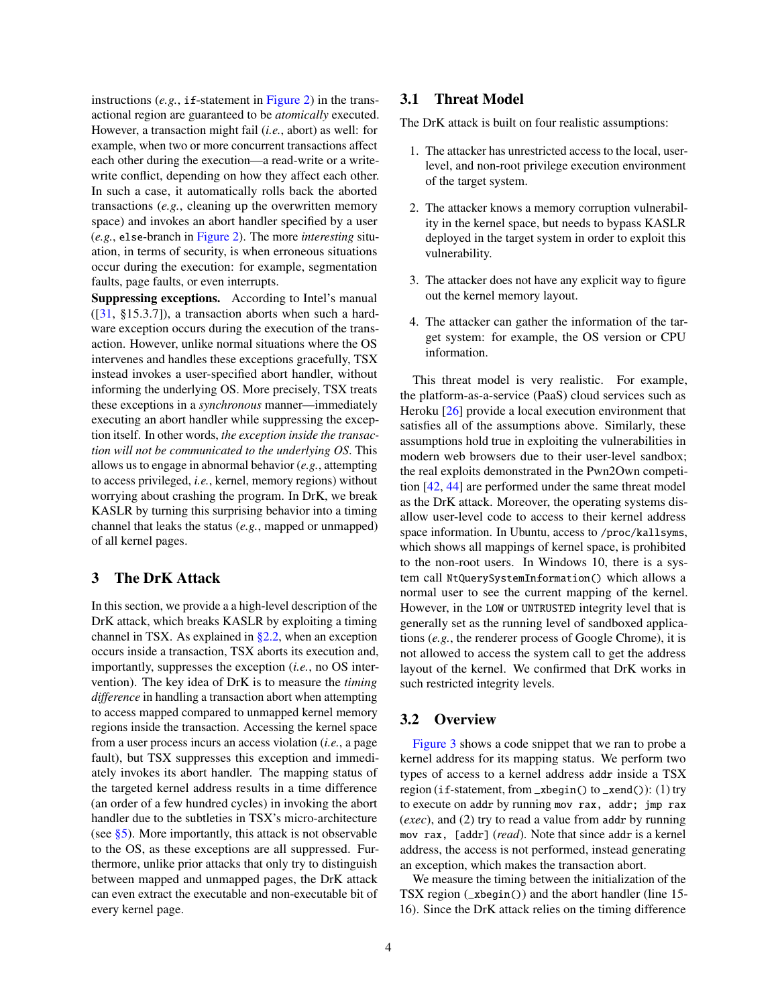instructions (*e.g.*, if-statement in [Figure 2\)](#page-2-1) in the transactional region are guaranteed to be *atomically* executed. However, a transaction might fail (*i.e.*, abort) as well: for example, when two or more concurrent transactions affect each other during the execution—a read-write or a writewrite conflict, depending on how they affect each other. In such a case, it automatically rolls back the aborted transactions (*e.g.*, cleaning up the overwritten memory space) and invokes an abort handler specified by a user (*e.g.*, else-branch in [Figure 2\)](#page-2-1). The more *interesting* situation, in terms of security, is when erroneous situations occur during the execution: for example, segmentation faults, page faults, or even interrupts.

Suppressing exceptions. According to Intel's manual  $([31, §15.3.7])$  $([31, §15.3.7])$  $([31, §15.3.7])$ , a transaction aborts when such a hardware exception occurs during the execution of the transaction. However, unlike normal situations where the OS intervenes and handles these exceptions gracefully, TSX instead invokes a user-specified abort handler, without informing the underlying OS. More precisely, TSX treats these exceptions in a *synchronous* manner—immediately executing an abort handler while suppressing the exception itself. In other words, *the exception inside the transaction will not be communicated to the underlying OS*. This allows us to engage in abnormal behavior (*e.g.*, attempting to access privileged, *i.e.*, kernel, memory regions) without worrying about crashing the program. In DrK, we break KASLR by turning this surprising behavior into a timing channel that leaks the status (*e.g.*, mapped or unmapped) of all kernel pages.

### <span id="page-3-0"></span>3 The DrK Attack

In this section, we provide a a high-level description of the DrK attack, which breaks KASLR by exploiting a timing channel in TSX. As explained in  $\S2.2$ , when an exception occurs inside a transaction, TSX aborts its execution and, importantly, suppresses the exception (*i.e.*, no OS intervention). The key idea of DrK is to measure the *timing difference* in handling a transaction abort when attempting to access mapped compared to unmapped kernel memory regions inside the transaction. Accessing the kernel space from a user process incurs an access violation (*i.e.*, a page fault), but TSX suppresses this exception and immediately invokes its abort handler. The mapping status of the targeted kernel address results in a time difference (an order of a few hundred cycles) in invoking the abort handler due to the subtleties in TSX's micro-architecture (see  $\S$ 5). More importantly, this attack is not observable to the OS, as these exceptions are all suppressed. Furthermore, unlike prior attacks that only try to distinguish between mapped and unmapped pages, the DrK attack can even extract the executable and non-executable bit of every kernel page.

# 3.1 Threat Model

The DrK attack is built on four realistic assumptions:

- 1. The attacker has unrestricted access to the local, userlevel, and non-root privilege execution environment of the target system.
- 2. The attacker knows a memory corruption vulnerability in the kernel space, but needs to bypass KASLR deployed in the target system in order to exploit this vulnerability.
- 3. The attacker does not have any explicit way to figure out the kernel memory layout.
- 4. The attacker can gather the information of the target system: for example, the OS version or CPU information.

This threat model is very realistic. For example, the platform-as-a-service (PaaS) cloud services such as Heroku [\[26\]](#page-15-17) provide a local execution environment that satisfies all of the assumptions above. Similarly, these assumptions hold true in exploiting the vulnerabilities in modern web browsers due to their user-level sandbox; the real exploits demonstrated in the Pwn2Own competition [\[42,](#page-15-10) [44\]](#page-15-11) are performed under the same threat model as the DrK attack. Moreover, the operating systems disallow user-level code to access to their kernel address space information. In Ubuntu, access to /proc/kallsyms, which shows all mappings of kernel space, is prohibited to the non-root users. In Windows 10, there is a system call NtQuerySystemInformation() which allows a normal user to see the current mapping of the kernel. However, in the LOW or UNTRUSTED integrity level that is generally set as the running level of sandboxed applications (*e.g.*, the renderer process of Google Chrome), it is not allowed to access the system call to get the address layout of the kernel. We confirmed that DrK works in such restricted integrity levels.

## 3.2 Overview

[Figure 3](#page-4-0) shows a code snippet that we ran to probe a kernel address for its mapping status. We perform two types of access to a kernel address addr inside a TSX region (if-statement, from \_xbegin() to \_xend()): (1) try to execute on addr by running mov rax, addr; jmp rax (*exec*), and (2) try to read a value from addr by running mov rax, [addr] (*read*). Note that since addr is a kernel address, the access is not performed, instead generating an exception, which makes the transaction abort.

We measure the timing between the initialization of the TSX region (\_xbegin()) and the abort handler (line 15- 16). Since the DrK attack relies on the timing difference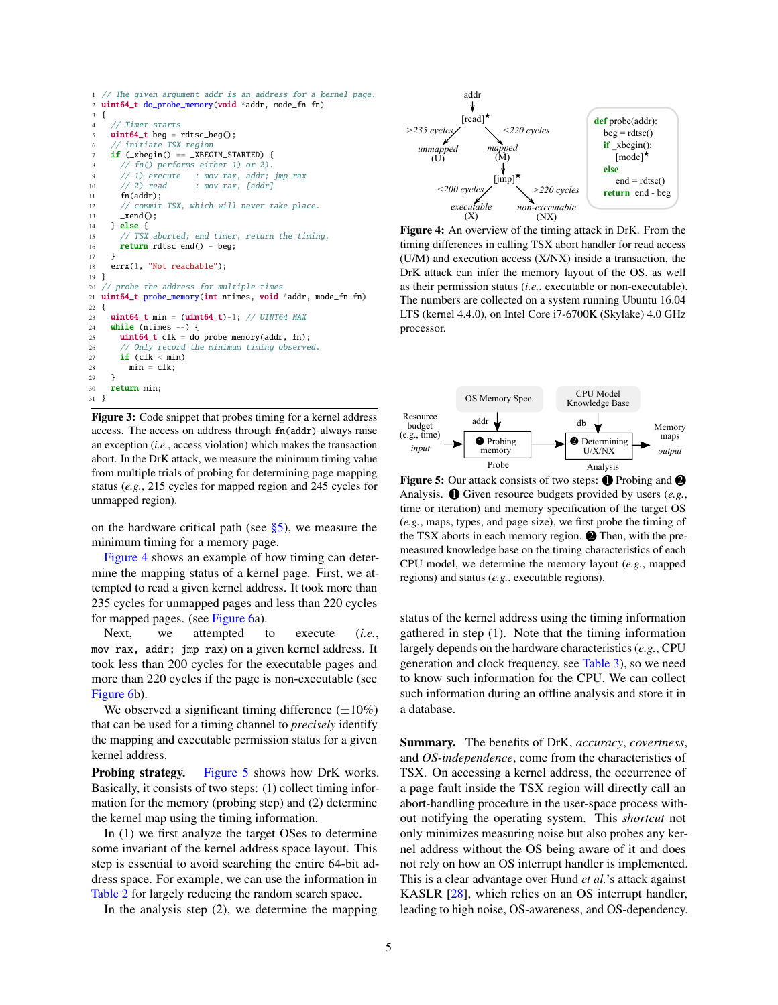```
1 // The given argument addr is an address for a kernel page.
2 uint64_t do_probe_memory(void *addr, mode_fn fn)
3 {
4 // Timer starts
5 uint64_t beg = rdtsc_bleg();
     6 // initiate TSX region
7 \quad \text{if} \quad \text{(xbeain() == XBEGIN STATED)} {
       // fn() performs either 1) or 2).
       // 1) execute : mov rax, addr; jmp rax
10 // 2) read : mov rax, [addr]
11 fn(addr);
12 // commit TSX, which will never take place.
13 \qquad \text{xend()}:
14 } else {
15 // TSX aborted; end timer, return the timing.
16 return rdtsc_end() - beg;
17 }
18 errx(1, "Not reachable");
19 }
20 // probe the address for multiple times
21 uint64_t probe_memory(int ntimes, void *addr, mode_fn fn)
22 {
23 uint64_t min = (uint64_t)-1; // UINT64_MAX
24 while (ntimes --) {
25 uint64_t clk = do_probe_memory(addr, fn);<br>26 // Only record the minimum timing observe
          Only record the minimum timing observed.
27 if (clk < min)<br>
28 min = clk:
         min = clk:
29 }
30 return min;
31 }
```
Figure 3: Code snippet that probes timing for a kernel address access. The access on address through fn(addr) always raise an exception (*i.e.*, access violation) which makes the transaction abort. In the DrK attack, we measure the minimum timing value from multiple trials of probing for determining page mapping status (*e.g.*, 215 cycles for mapped region and 245 cycles for unmapped region).

on the hardware critical path (see  $\S$ 5), we measure the minimum timing for a memory page.

[Figure 4](#page-4-1) shows an example of how timing can determine the mapping status of a kernel page. First, we attempted to read a given kernel address. It took more than 235 cycles for unmapped pages and less than 220 cycles for mapped pages. (see [Figure 6a](#page-5-1)).

Next, we attempted to execute (*i.e.*, mov rax, addr; jmp rax) on a given kernel address. It took less than 200 cycles for the executable pages and more than 220 cycles if the page is non-executable (see [Figure 6b](#page-5-1)).

We observed a significant timing difference  $(\pm 10\%)$ that can be used for a timing channel to *precisely* identify the mapping and executable permission status for a given kernel address.

Probing strategy. [Figure 5](#page-4-2) shows how DrK works. Basically, it consists of two steps: (1) collect timing information for the memory (probing step) and (2) determine the kernel map using the timing information.

In (1) we first analyze the target OSes to determine some invariant of the kernel address space layout. This step is essential to avoid searching the entire 64-bit address space. For example, we can use the information in [Table 2](#page-2-0) for largely reducing the random search space.

In the analysis step (2), we determine the mapping

<span id="page-4-1"></span>

Figure 4: An overview of the timing attack in DrK. From the timing differences in calling TSX abort handler for read access (U/M) and execution access (X/NX) inside a transaction, the DrK attack can infer the memory layout of the OS, as well as their permission status (*i.e.*, executable or non-executable). The numbers are collected on a system running Ubuntu 16.04 LTS (kernel 4.4.0), on Intel Core i7-6700K (Skylake) 4.0 GHz processor.

<span id="page-4-2"></span>

Figure 5: Our attack consists of two steps:  $\bigcirc$  Probing and  $\bigcirc$ Analysis.  $\bullet$  Given resource budgets provided by users (*e.g.*, time or iteration) and memory specification of the target OS (*e.g.*, maps, types, and page size), we first probe the timing of the TSX aborts in each memory region.  $\bullet$  Then, with the premeasured knowledge base on the timing characteristics of each CPU model, we determine the memory layout (*e.g.*, mapped regions) and status (*e.g.*, executable regions).

status of the kernel address using the timing information gathered in step (1). Note that the timing information largely depends on the hardware characteristics (*e.g.*, CPU generation and clock frequency, see [Table 3\)](#page-5-2), so we need to know such information for the CPU. We can collect such information during an offline analysis and store it in a database.

Summary. The benefits of DrK, *accuracy*, *covertness*, and *OS-independence*, come from the characteristics of TSX. On accessing a kernel address, the occurrence of a page fault inside the TSX region will directly call an abort-handling procedure in the user-space process without notifying the operating system. This *shortcut* not only minimizes measuring noise but also probes any kernel address without the OS being aware of it and does not rely on how an OS interrupt handler is implemented. This is a clear advantage over Hund *et al.*'s attack against KASLR [\[28\]](#page-15-7), which relies on an OS interrupt handler, leading to high noise, OS-awareness, and OS-dependency.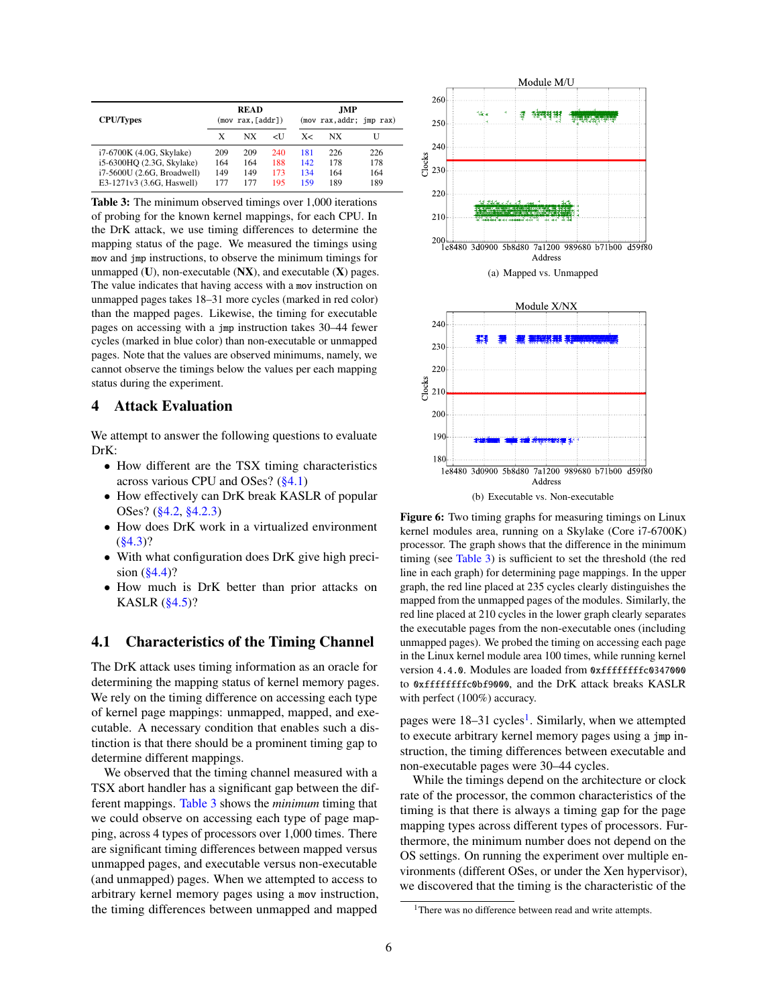<span id="page-5-2"></span>

| <b>CPU/Types</b>           |     | <b>READ</b><br>$(mov\, tax, [addr])$ |          | JMP.<br>$(mov\, tax,addr; imp\, tax)$ |     |     |  |
|----------------------------|-----|--------------------------------------|----------|---------------------------------------|-----|-----|--|
|                            | X   | NX                                   | $\leq$ U | X<                                    | NX  | U   |  |
| i7-6700K (4.0G, Skylake)   | 209 | 209                                  | 240      | 181                                   | 226 | 226 |  |
| i5-6300HO (2.3G, Skylake)  | 164 | 164                                  | 188      | 142                                   | 178 | 178 |  |
| i7-5600U (2.6G, Broadwell) | 149 | 149                                  | 173      | 134                                   | 164 | 164 |  |
| E3-1271v3 (3.6G, Haswell)  | 177 | 177                                  | 195      | 159                                   | 189 | 189 |  |

Table 3: The minimum observed timings over 1,000 iterations of probing for the known kernel mappings, for each CPU. In the DrK attack, we use timing differences to determine the mapping status of the page. We measured the timings using mov and jmp instructions, to observe the minimum timings for unmapped  $(U)$ , non-executable  $(NX)$ , and executable  $(X)$  pages. The value indicates that having access with a mov instruction on unmapped pages takes 18–31 more cycles (marked in red color) than the mapped pages. Likewise, the timing for executable pages on accessing with a jmp instruction takes 30–44 fewer cycles (marked in blue color) than non-executable or unmapped pages. Note that the values are observed minimums, namely, we cannot observe the timings below the values per each mapping status during the experiment.

# <span id="page-5-0"></span>4 Attack Evaluation

We attempt to answer the following questions to evaluate DrK:

- How different are the TSX timing characteristics across various CPU and OSes? [\(§4.1\)](#page-5-3)
- How effectively can DrK break KASLR of popular OSes? [\(§4.2,](#page-6-0) [§4.2.3\)](#page-8-0)
- How does DrK work in a virtualized environment  $(§4.3)?$  $(§4.3)?$
- With what configuration does DrK give high precision [\(§4.4\)](#page-9-0)?
- How much is DrK better than prior attacks on KASLR [\(§4.5\)](#page-9-1)?

# <span id="page-5-3"></span>4.1 Characteristics of the Timing Channel

The DrK attack uses timing information as an oracle for determining the mapping status of kernel memory pages. We rely on the timing difference on accessing each type of kernel page mappings: unmapped, mapped, and executable. A necessary condition that enables such a distinction is that there should be a prominent timing gap to determine different mappings.

We observed that the timing channel measured with a TSX abort handler has a significant gap between the different mappings. [Table 3](#page-5-2) shows the *minimum* timing that we could observe on accessing each type of page mapping, across 4 types of processors over 1,000 times. There are significant timing differences between mapped versus unmapped pages, and executable versus non-executable (and unmapped) pages. When we attempted to access to arbitrary kernel memory pages using a mov instruction, the timing differences between unmapped and mapped

<span id="page-5-1"></span>

(b) Executable vs. Non-executable

Figure 6: Two timing graphs for measuring timings on Linux kernel modules area, running on a Skylake (Core i7-6700K) processor. The graph shows that the difference in the minimum timing (see [Table 3\)](#page-5-2) is sufficient to set the threshold (the red line in each graph) for determining page mappings. In the upper graph, the red line placed at 235 cycles clearly distinguishes the mapped from the unmapped pages of the modules. Similarly, the red line placed at 210 cycles in the lower graph clearly separates the executable pages from the non-executable ones (including unmapped pages). We probed the timing on accessing each page in the Linux kernel module area 100 times, while running kernel version 4.4.0. Modules are loaded from 0xffffffffc0347000 to 0xffffffffc0bf9000, and the DrK attack breaks KASLR with perfect (100%) accuracy.

pages were [1](#page-5-4)8–31 cycles<sup>1</sup>. Similarly, when we attempted to execute arbitrary kernel memory pages using a jmp instruction, the timing differences between executable and non-executable pages were 30–44 cycles.

While the timings depend on the architecture or clock rate of the processor, the common characteristics of the timing is that there is always a timing gap for the page mapping types across different types of processors. Furthermore, the minimum number does not depend on the OS settings. On running the experiment over multiple environments (different OSes, or under the Xen hypervisor), we discovered that the timing is the characteristic of the

<span id="page-5-4"></span><sup>&</sup>lt;sup>1</sup>There was no difference between read and write attempts.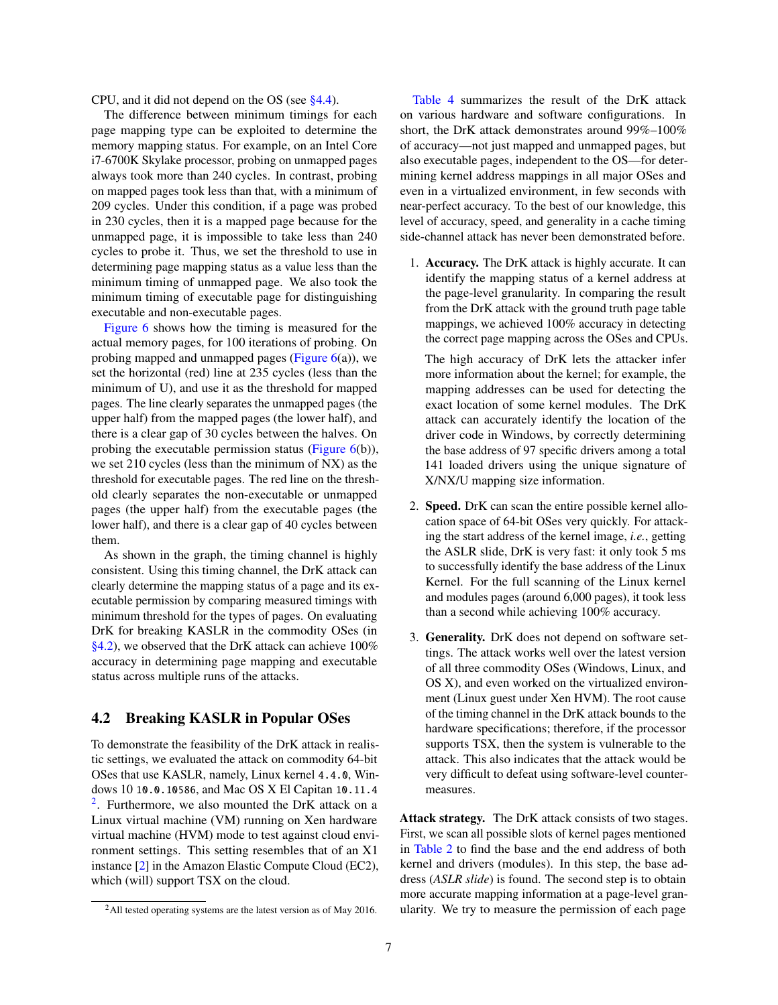CPU, and it did not depend on the OS (see [§4.4\)](#page-9-0).

The difference between minimum timings for each page mapping type can be exploited to determine the memory mapping status. For example, on an Intel Core i7-6700K Skylake processor, probing on unmapped pages always took more than 240 cycles. In contrast, probing on mapped pages took less than that, with a minimum of 209 cycles. Under this condition, if a page was probed in 230 cycles, then it is a mapped page because for the unmapped page, it is impossible to take less than 240 cycles to probe it. Thus, we set the threshold to use in determining page mapping status as a value less than the minimum timing of unmapped page. We also took the minimum timing of executable page for distinguishing executable and non-executable pages.

[Figure 6](#page-5-1) shows how the timing is measured for the actual memory pages, for 100 iterations of probing. On probing mapped and unmapped pages (Figure  $6(a)$ ), we set the horizontal (red) line at 235 cycles (less than the minimum of U), and use it as the threshold for mapped pages. The line clearly separates the unmapped pages (the upper half) from the mapped pages (the lower half), and there is a clear gap of 30 cycles between the halves. On probing the executable permission status (Figure  $6(b)$ ), we set 210 cycles (less than the minimum of NX) as the threshold for executable pages. The red line on the threshold clearly separates the non-executable or unmapped pages (the upper half) from the executable pages (the lower half), and there is a clear gap of 40 cycles between them.

As shown in the graph, the timing channel is highly consistent. Using this timing channel, the DrK attack can clearly determine the mapping status of a page and its executable permission by comparing measured timings with minimum threshold for the types of pages. On evaluating DrK for breaking KASLR in the commodity OSes (in [§4.2\)](#page-6-0), we observed that the DrK attack can achieve 100% accuracy in determining page mapping and executable status across multiple runs of the attacks.

# <span id="page-6-0"></span>4.2 Breaking KASLR in Popular OSes

To demonstrate the feasibility of the DrK attack in realistic settings, we evaluated the attack on commodity 64-bit OSes that use KASLR, namely, Linux kernel 4.4.0, Windows 10 10.0.10586, and Mac OS X El Capitan 10.11.4  $2$ . Furthermore, we also mounted the DrK attack on a Linux virtual machine (VM) running on Xen hardware virtual machine (HVM) mode to test against cloud environment settings. This setting resembles that of an X1 instance [\[2\]](#page-14-4) in the Amazon Elastic Compute Cloud (EC2), which (will) support TSX on the cloud.

[Table 4](#page-7-0) summarizes the result of the DrK attack on various hardware and software configurations. In short, the DrK attack demonstrates around 99%–100% of accuracy—not just mapped and unmapped pages, but also executable pages, independent to the OS—for determining kernel address mappings in all major OSes and even in a virtualized environment, in few seconds with near-perfect accuracy. To the best of our knowledge, this level of accuracy, speed, and generality in a cache timing side-channel attack has never been demonstrated before.

1. Accuracy. The DrK attack is highly accurate. It can identify the mapping status of a kernel address at the page-level granularity. In comparing the result from the DrK attack with the ground truth page table mappings, we achieved 100% accuracy in detecting the correct page mapping across the OSes and CPUs.

The high accuracy of DrK lets the attacker infer more information about the kernel; for example, the mapping addresses can be used for detecting the exact location of some kernel modules. The DrK attack can accurately identify the location of the driver code in Windows, by correctly determining the base address of 97 specific drivers among a total 141 loaded drivers using the unique signature of X/NX/U mapping size information.

- 2. Speed. DrK can scan the entire possible kernel allocation space of 64-bit OSes very quickly. For attacking the start address of the kernel image, *i.e.*, getting the ASLR slide, DrK is very fast: it only took 5 ms to successfully identify the base address of the Linux Kernel. For the full scanning of the Linux kernel and modules pages (around 6,000 pages), it took less than a second while achieving 100% accuracy.
- 3. Generality. DrK does not depend on software settings. The attack works well over the latest version of all three commodity OSes (Windows, Linux, and OS X), and even worked on the virtualized environment (Linux guest under Xen HVM). The root cause of the timing channel in the DrK attack bounds to the hardware specifications; therefore, if the processor supports TSX, then the system is vulnerable to the attack. This also indicates that the attack would be very difficult to defeat using software-level countermeasures.

Attack strategy. The DrK attack consists of two stages. First, we scan all possible slots of kernel pages mentioned in [Table 2](#page-2-0) to find the base and the end address of both kernel and drivers (modules). In this step, the base address (*ASLR slide*) is found. The second step is to obtain more accurate mapping information at a page-level granularity. We try to measure the permission of each page

<span id="page-6-1"></span><sup>2</sup>All tested operating systems are the latest version as of May 2016.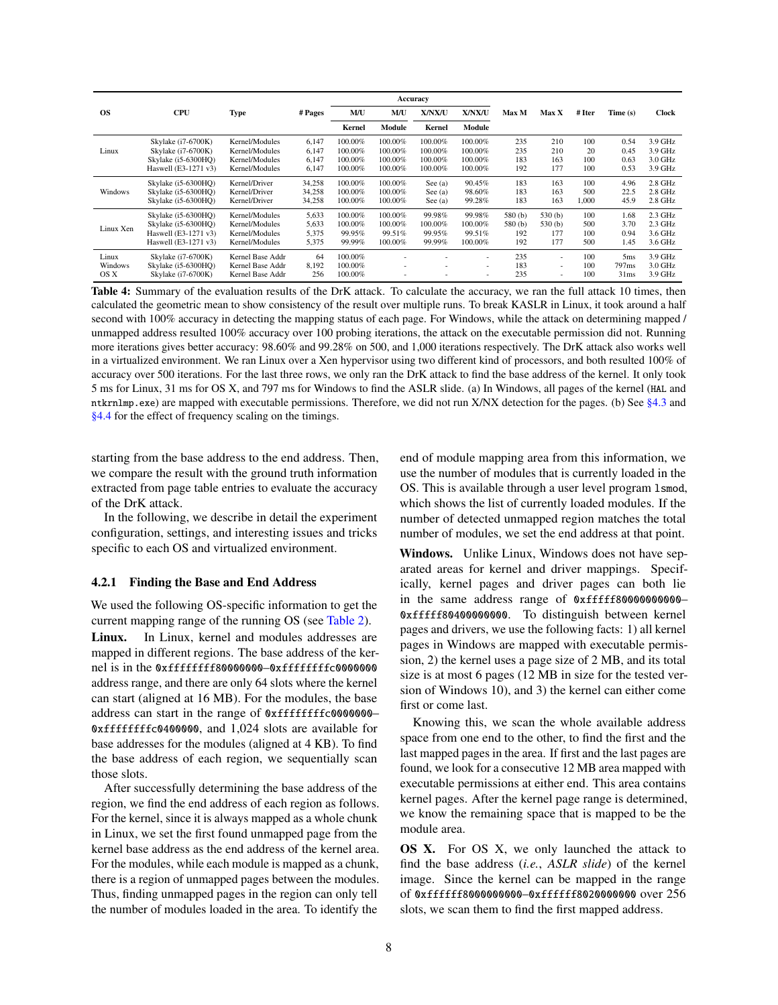<span id="page-7-0"></span>

|           |                      |                  |         |         |         | Accuracy  |                          |              |                          |        |                 |              |
|-----------|----------------------|------------------|---------|---------|---------|-----------|--------------------------|--------------|--------------------------|--------|-----------------|--------------|
| <b>OS</b> | <b>CPU</b>           | Type             | # Pages | M/U     | M/U     | X/NX/U    | X/NX/U                   | <b>Max M</b> | <b>Max X</b>             | # Iter | Time (s)        | <b>Clock</b> |
|           |                      |                  |         | Kernel  | Module  | Kernel    | Module                   |              |                          |        |                 |              |
|           | Skylake (i7-6700K)   | Kernel/Modules   | 6,147   | 100.00% | 100.00% | 100.00%   | 100.00%                  | 235          | 210                      | 100    | 0.54            | 3.9 GHz      |
| Linux     | Skylake (i7-6700K)   | Kernel/Modules   | 6,147   | 100.00% | 100.00% | 100.00%   | 100.00%                  | 235          | 210                      | 20     | 0.45            | 3.9 GHz      |
|           | Skylake (i5-6300HQ)  | Kernel/Modules   | 6,147   | 100.00% | 100.00% | 100.00%   | 100.00%                  | 183          | 163                      | 100    | 0.63            | 3.0 GHz      |
|           | Haswell (E3-1271 v3) | Kernel/Modules   | 6,147   | 100.00% | 100.00% | 100.00%   | 100.00%                  | 192          | 177                      | 100    | 0.53            | 3.9 GHz      |
|           | Skylake (i5-6300HQ)  | Kernel/Driver    | 34,258  | 100.00% | 100.00% | See $(a)$ | 90.45%                   | 183          | 163                      | 100    | 4.96            | $2.8$ GHz    |
| Windows   | Skylake (i5-6300HQ)  | Kernel/Driver    | 34,258  | 100.00% | 100.00% | See $(a)$ | 98.60%                   | 183          | 163                      | 500    | 22.5            | $2.8$ GHz    |
|           | Skylake (i5-6300HQ)  | Kernel/Driver    | 34,258  | 100.00% | 100.00% | See $(a)$ | 99.28%                   | 183          | 163                      | 1,000  | 45.9            | $2.8$ GHz    |
|           | Skylake (i5-6300HQ)  | Kernel/Modules   | 5,633   | 100.00% | 100.00% | 99.98%    | 99.98%                   | 580(b)       | 530(b)                   | 100    | 1.68            | $2.3$ GHz    |
| Linux Xen | Skylake (i5-6300HQ)  | Kernel/Modules   | 5,633   | 100.00% | 100.00% | 100.00%   | 100.00%                  | 580(b)       | 530 $(b)$                | 500    | 3.70            | $2.3$ GHz    |
|           | Haswell (E3-1271 v3) | Kernel/Modules   | 5,375   | 99.95%  | 99.51%  | 99.95%    | 99.51%                   | 192          | 177                      | 100    | 0.94            | 3.6 GHz      |
|           | Haswell (E3-1271 v3) | Kernel/Modules   | 5,375   | 99.99%  | 100.00% | 99.99%    | 100.00%                  | 192          | 177                      | 500    | 1.45            | 3.6 GHz      |
| Linux     | Skylake (i7-6700K)   | Kernel Base Addr | 64      | 100.00% |         |           | $\overline{\phantom{a}}$ | 235          | ٠                        | 100    | 5 <sub>ms</sub> | 3.9 GHz      |
| Windows   | Skylake (i5-6300HQ)  | Kernel Base Addr | 8.192   | 100.00% |         |           | $\overline{\phantom{a}}$ | 183          | $\overline{\phantom{0}}$ | 100    | 797ms           | 3.0 GHz      |
| OS X      | Skylake (i7-6700K)   | Kernel Base Addr | 256     | 100.00% |         |           | $\overline{\phantom{a}}$ | 235          | $\overline{a}$           | 100    | 31ms            | 3.9 GHz      |

Table 4: Summary of the evaluation results of the DrK attack. To calculate the accuracy, we ran the full attack 10 times, then calculated the geometric mean to show consistency of the result over multiple runs. To break KASLR in Linux, it took around a half second with 100% accuracy in detecting the mapping status of each page. For Windows, while the attack on determining mapped / unmapped address resulted 100% accuracy over 100 probing iterations, the attack on the executable permission did not. Running more iterations gives better accuracy: 98.60% and 99.28% on 500, and 1,000 iterations respectively. The DrK attack also works well in a virtualized environment. We ran Linux over a Xen hypervisor using two different kind of processors, and both resulted 100% of accuracy over 500 iterations. For the last three rows, we only ran the DrK attack to find the base address of the kernel. It only took 5 ms for Linux, 31 ms for OS X, and 797 ms for Windows to find the ASLR slide. (a) In Windows, all pages of the kernel (HAL and ntkrnlmp.exe) are mapped with executable permissions. Therefore, we did not run X/NX detection for the pages. (b) See [§4.3](#page-8-1) and [§4.4](#page-9-0) for the effect of frequency scaling on the timings.

starting from the base address to the end address. Then, we compare the result with the ground truth information extracted from page table entries to evaluate the accuracy of the DrK attack.

In the following, we describe in detail the experiment configuration, settings, and interesting issues and tricks specific to each OS and virtualized environment.

#### 4.2.1 Finding the Base and End Address

We used the following OS-specific information to get the current mapping range of the running OS (see [Table 2\)](#page-2-0).

Linux. In Linux, kernel and modules addresses are mapped in different regions. The base address of the kernel is in the 0xffffffff80000000–0xffffffffc0000000 address range, and there are only 64 slots where the kernel can start (aligned at 16 MB). For the modules, the base address can start in the range of 0xffffffffc0000000– 0xffffffffc0400000, and 1,024 slots are available for base addresses for the modules (aligned at 4 KB). To find the base address of each region, we sequentially scan those slots.

After successfully determining the base address of the region, we find the end address of each region as follows. For the kernel, since it is always mapped as a whole chunk in Linux, we set the first found unmapped page from the kernel base address as the end address of the kernel area. For the modules, while each module is mapped as a chunk, there is a region of unmapped pages between the modules. Thus, finding unmapped pages in the region can only tell the number of modules loaded in the area. To identify the

end of module mapping area from this information, we use the number of modules that is currently loaded in the OS. This is available through a user level program lsmod, which shows the list of currently loaded modules. If the number of detected unmapped region matches the total number of modules, we set the end address at that point.

Windows. Unlike Linux, Windows does not have separated areas for kernel and driver mappings. Specifically, kernel pages and driver pages can both lie in the same address range of 0xfffff80000000000– 0xfffff80400000000. To distinguish between kernel pages and drivers, we use the following facts: 1) all kernel pages in Windows are mapped with executable permission, 2) the kernel uses a page size of 2 MB, and its total size is at most 6 pages (12 MB in size for the tested version of Windows 10), and 3) the kernel can either come first or come last.

Knowing this, we scan the whole available address space from one end to the other, to find the first and the last mapped pages in the area. If first and the last pages are found, we look for a consecutive 12 MB area mapped with executable permissions at either end. This area contains kernel pages. After the kernel page range is determined, we know the remaining space that is mapped to be the module area.

OS X. For OS X, we only launched the attack to find the base address (*i.e.*, *ASLR slide*) of the kernel image. Since the kernel can be mapped in the range of 0xffffff8000000000–0xffffff8020000000 over 256 slots, we scan them to find the first mapped address.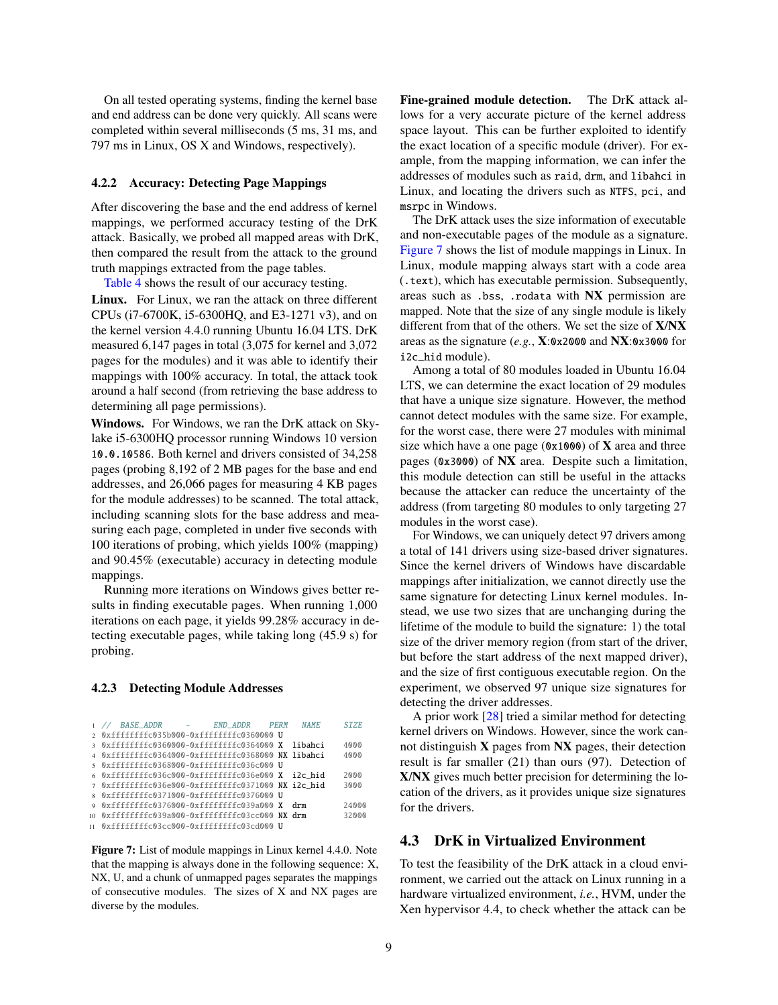On all tested operating systems, finding the kernel base and end address can be done very quickly. All scans were completed within several milliseconds (5 ms, 31 ms, and 797 ms in Linux, OS X and Windows, respectively).

#### 4.2.2 Accuracy: Detecting Page Mappings

After discovering the base and the end address of kernel mappings, we performed accuracy testing of the DrK attack. Basically, we probed all mapped areas with DrK, then compared the result from the attack to the ground truth mappings extracted from the page tables.

[Table 4](#page-7-0) shows the result of our accuracy testing.

Linux. For Linux, we ran the attack on three different CPUs (i7-6700K, i5-6300HQ, and E3-1271 v3), and on the kernel version 4.4.0 running Ubuntu 16.04 LTS. DrK measured 6,147 pages in total (3,075 for kernel and 3,072 pages for the modules) and it was able to identify their mappings with 100% accuracy. In total, the attack took around a half second (from retrieving the base address to determining all page permissions).

Windows. For Windows, we ran the DrK attack on Skylake i5-6300HQ processor running Windows 10 version 10.0.10586. Both kernel and drivers consisted of 34,258 pages (probing 8,192 of 2 MB pages for the base and end addresses, and 26,066 pages for measuring 4 KB pages for the module addresses) to be scanned. The total attack, including scanning slots for the base address and measuring each page, completed in under five seconds with 100 iterations of probing, which yields 100% (mapping) and 90.45% (executable) accuracy in detecting module mappings.

Running more iterations on Windows gives better results in finding executable pages. When running 1,000 iterations on each page, it yields 99.28% accuracy in detecting executable pages, while taking long (45.9 s) for probing.

#### <span id="page-8-0"></span>4.2.3 Detecting Module Addresses

<span id="page-8-2"></span>

|  |  | 1 // BASE_ADDR - END_ADDR PERM                  |  |  | <b>NAME</b>                                        | <b>STZE</b> |
|--|--|-------------------------------------------------|--|--|----------------------------------------------------|-------------|
|  |  | 2 0xffffffffc035b000-0xffffffffc0360000 U       |  |  |                                                    |             |
|  |  |                                                 |  |  | 3 0xffffffffc0360000-0xffffffffc0364000 X libahci  | 4000        |
|  |  |                                                 |  |  | 4 Oxffffffffc0364000-0xffffffffc0368000 NX libahci | 4000        |
|  |  | 5 Oxffffffffc0368000-0xffffffffc036c000 U       |  |  |                                                    |             |
|  |  |                                                 |  |  | 6 0xffffffffc036c000-0xffffffffc036e000 X i2c hid  | 2000        |
|  |  |                                                 |  |  | 7 Oxffffffffc036e000-0xffffffffc0371000 NX i2c hid | 3000        |
|  |  | 8 Oxffffffffc0371000-0xffffffffc0376000 U       |  |  |                                                    |             |
|  |  | 9 Oxffffffffc0376000-0xffffffffc039a000 X drm   |  |  |                                                    | 24000       |
|  |  | 10 Oxffffffffc039a000-0xffffffffc03cc000 NX drm |  |  |                                                    | 32000       |
|  |  | 11 Oxffffffffc03cc000-0xffffffffc03cd000 U      |  |  |                                                    |             |
|  |  |                                                 |  |  |                                                    |             |

Figure 7: List of module mappings in Linux kernel 4.4.0. Note that the mapping is always done in the following sequence: X, NX, U, and a chunk of unmapped pages separates the mappings of consecutive modules. The sizes of X and NX pages are diverse by the modules.

Fine-grained module detection. The DrK attack allows for a very accurate picture of the kernel address space layout. This can be further exploited to identify the exact location of a specific module (driver). For example, from the mapping information, we can infer the addresses of modules such as raid, drm, and libahci in Linux, and locating the drivers such as NTFS, pci, and msrpc in Windows.

The DrK attack uses the size information of executable and non-executable pages of the module as a signature. [Figure 7](#page-8-2) shows the list of module mappings in Linux. In Linux, module mapping always start with a code area (.text), which has executable permission. Subsequently, areas such as .bss, .rodata with NX permission are mapped. Note that the size of any single module is likely different from that of the others. We set the size of X/NX areas as the signature (*e.g.*, X:0x2000 and NX:0x3000 for i2c\_hid module).

Among a total of 80 modules loaded in Ubuntu 16.04 LTS, we can determine the exact location of 29 modules that have a unique size signature. However, the method cannot detect modules with the same size. For example, for the worst case, there were 27 modules with minimal size which have a one page ( $0x1000$ ) of **X** area and three pages (0x3000) of NX area. Despite such a limitation, this module detection can still be useful in the attacks because the attacker can reduce the uncertainty of the address (from targeting 80 modules to only targeting 27 modules in the worst case).

For Windows, we can uniquely detect 97 drivers among a total of 141 drivers using size-based driver signatures. Since the kernel drivers of Windows have discardable mappings after initialization, we cannot directly use the same signature for detecting Linux kernel modules. Instead, we use two sizes that are unchanging during the lifetime of the module to build the signature: 1) the total size of the driver memory region (from start of the driver, but before the start address of the next mapped driver), and the size of first contiguous executable region. On the experiment, we observed 97 unique size signatures for detecting the driver addresses.

A prior work [\[28\]](#page-15-7) tried a similar method for detecting kernel drivers on Windows. However, since the work cannot distinguish X pages from NX pages, their detection result is far smaller (21) than ours (97). Detection of X/NX gives much better precision for determining the location of the drivers, as it provides unique size signatures for the drivers.

# <span id="page-8-1"></span>4.3 DrK in Virtualized Environment

To test the feasibility of the DrK attack in a cloud environment, we carried out the attack on Linux running in a hardware virtualized environment, *i.e.*, HVM, under the Xen hypervisor 4.4, to check whether the attack can be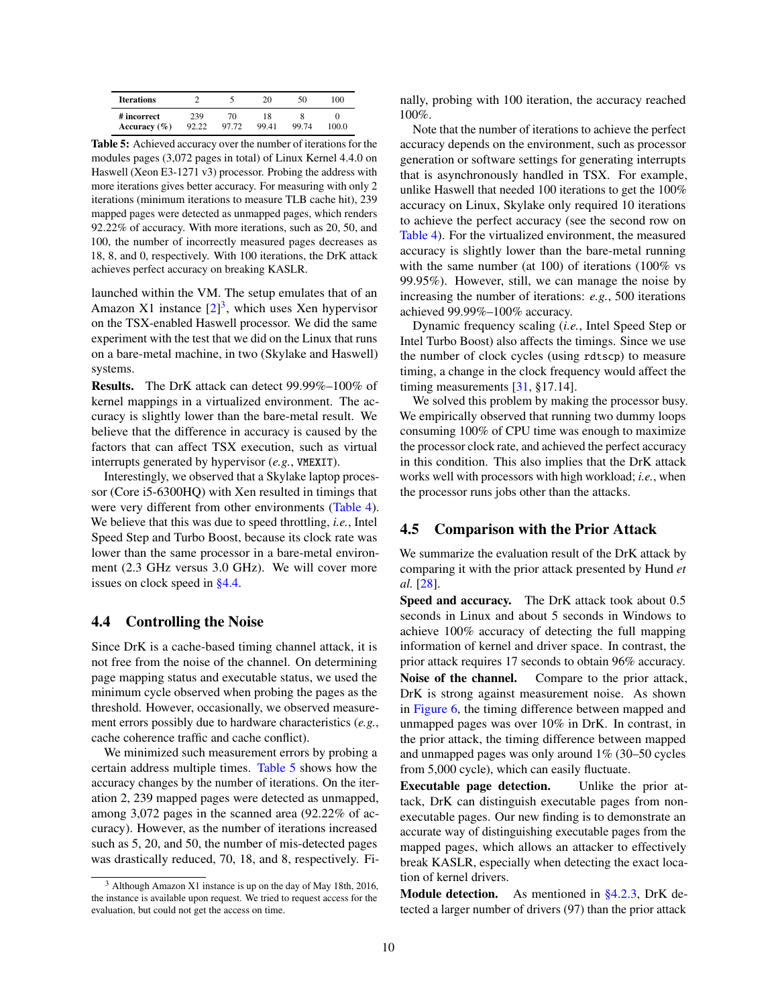<span id="page-9-3"></span>

| <b>Iterations</b>               |              |             | 20          | 50    | 100   |
|---------------------------------|--------------|-------------|-------------|-------|-------|
| # incorrect<br>Accuracy $(\% )$ | 239<br>92.22 | 70<br>97.72 | 18<br>99.41 | 99 74 | 100.0 |

Table 5: Achieved accuracy over the number of iterations for the modules pages (3,072 pages in total) of Linux Kernel 4.4.0 on Haswell (Xeon E3-1271 v3) processor. Probing the address with more iterations gives better accuracy. For measuring with only 2 iterations (minimum iterations to measure TLB cache hit), 239 mapped pages were detected as unmapped pages, which renders 92.22% of accuracy. With more iterations, such as 20, 50, and 100, the number of incorrectly measured pages decreases as 18, 8, and 0, respectively. With 100 iterations, the DrK attack achieves perfect accuracy on breaking KASLR.

launched within the VM. The setup emulates that of an Amazon X1 instance  $[2]^3$  $[2]^3$  $[2]^3$ , which uses Xen hypervisor on the TSX-enabled Haswell processor. We did the same experiment with the test that we did on the Linux that runs on a bare-metal machine, in two (Skylake and Haswell) systems.

Results. The DrK attack can detect 99.99%–100% of kernel mappings in a virtualized environment. The accuracy is slightly lower than the bare-metal result. We believe that the difference in accuracy is caused by the factors that can affect TSX execution, such as virtual interrupts generated by hypervisor (*e.g.*, VMEXIT).

Interestingly, we observed that a Skylake laptop processor (Core i5-6300HQ) with Xen resulted in timings that were very different from other environments [\(Table 4\)](#page-7-0). We believe that this was due to speed throttling, *i.e.*, Intel Speed Step and Turbo Boost, because its clock rate was lower than the same processor in a bare-metal environment (2.3 GHz versus 3.0 GHz). We will cover more issues on clock speed in [§4.4.](#page-9-0)

### <span id="page-9-0"></span>4.4 Controlling the Noise

Since DrK is a cache-based timing channel attack, it is not free from the noise of the channel. On determining page mapping status and executable status, we used the minimum cycle observed when probing the pages as the threshold. However, occasionally, we observed measurement errors possibly due to hardware characteristics (*e.g.*, cache coherence traffic and cache conflict).

We minimized such measurement errors by probing a certain address multiple times. [Table 5](#page-9-3) shows how the accuracy changes by the number of iterations. On the iteration 2, 239 mapped pages were detected as unmapped, among 3,072 pages in the scanned area (92.22% of accuracy). However, as the number of iterations increased such as 5, 20, and 50, the number of mis-detected pages was drastically reduced, 70, 18, and 8, respectively. Finally, probing with 100 iteration, the accuracy reached 100%.

Note that the number of iterations to achieve the perfect accuracy depends on the environment, such as processor generation or software settings for generating interrupts that is asynchronously handled in TSX. For example, unlike Haswell that needed 100 iterations to get the 100% accuracy on Linux, Skylake only required 10 iterations to achieve the perfect accuracy (see the second row on [Table 4\)](#page-7-0). For the virtualized environment, the measured accuracy is slightly lower than the bare-metal running with the same number (at 100) of iterations (100% vs 99.95%). However, still, we can manage the noise by increasing the number of iterations: *e.g.*, 500 iterations achieved 99.99%–100% accuracy.

Dynamic frequency scaling (*i.e.*, Intel Speed Step or Intel Turbo Boost) also affects the timings. Since we use the number of clock cycles (using rdtscp) to measure timing, a change in the clock frequency would affect the timing measurements [\[31,](#page-15-16) §17.14].

We solved this problem by making the processor busy. We empirically observed that running two dummy loops consuming 100% of CPU time was enough to maximize the processor clock rate, and achieved the perfect accuracy in this condition. This also implies that the DrK attack works well with processors with high workload; *i.e.*, when the processor runs jobs other than the attacks.

# <span id="page-9-1"></span>4.5 Comparison with the Prior Attack

We summarize the evaluation result of the DrK attack by comparing it with the prior attack presented by Hund *et al.* [\[28\]](#page-15-7).

Speed and accuracy. The DrK attack took about 0.5 seconds in Linux and about 5 seconds in Windows to achieve 100% accuracy of detecting the full mapping information of kernel and driver space. In contrast, the prior attack requires 17 seconds to obtain 96% accuracy. Noise of the channel. Compare to the prior attack, DrK is strong against measurement noise. As shown in [Figure 6,](#page-5-1) the timing difference between mapped and unmapped pages was over 10% in DrK. In contrast, in the prior attack, the timing difference between mapped and unmapped pages was only around 1% (30–50 cycles from 5,000 cycle), which can easily fluctuate.

Executable page detection. Unlike the prior attack, DrK can distinguish executable pages from nonexecutable pages. Our new finding is to demonstrate an accurate way of distinguishing executable pages from the mapped pages, which allows an attacker to effectively break KASLR, especially when detecting the exact location of kernel drivers.

Module detection. As mentioned in [§4.2.3,](#page-8-0) DrK detected a larger number of drivers (97) than the prior attack

<span id="page-9-2"></span><sup>3</sup> Although Amazon X1 instance is up on the day of May 18th, 2016, the instance is available upon request. We tried to request access for the evaluation, but could not get the access on time.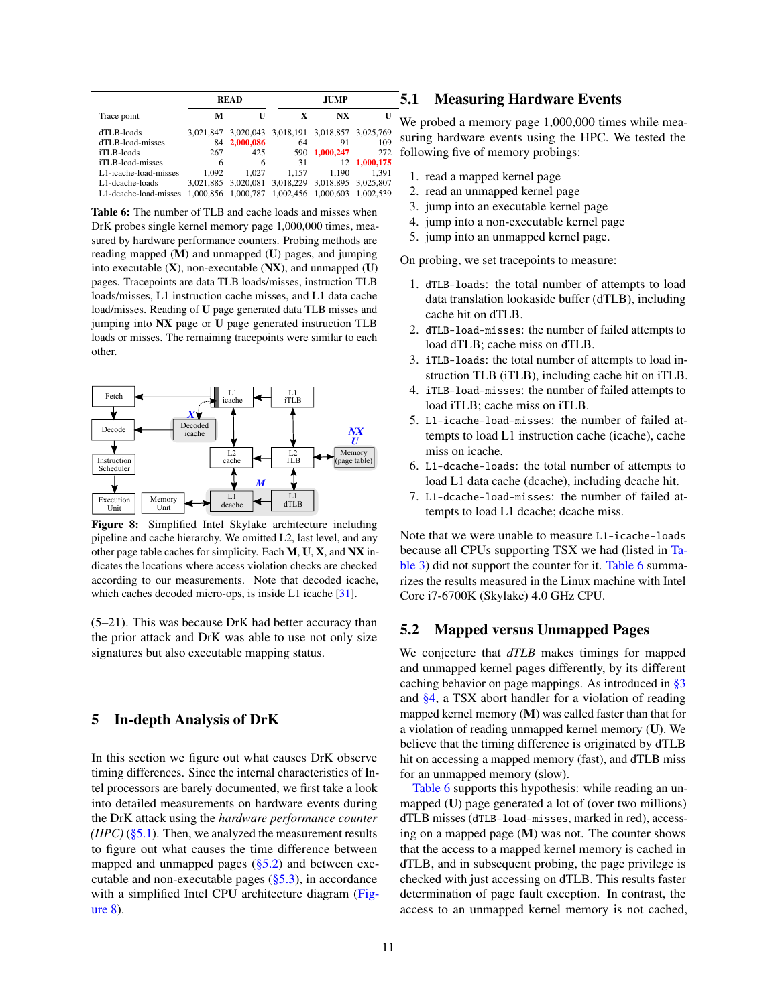<span id="page-10-4"></span>

|                       |           | <b>READ</b> |       | <b>JUMP</b>                   |              |  |  |  |
|-----------------------|-----------|-------------|-------|-------------------------------|--------------|--|--|--|
| Trace point           | м         | U           | X     | <b>NX</b>                     | U            |  |  |  |
| dTLB-loads            | 3.021.847 | 3.020.043   |       | 3,018,191 3,018,857 3,025,769 |              |  |  |  |
| dTLB-load-misses      | 84        | 2,000,086   | 64    | 91                            | 109          |  |  |  |
| iTLB-loads            | 267       | 425         | 590   | 1.000.247                     | 272          |  |  |  |
| iTLB-load-misses      | 6         | 6           | 31    |                               | 12 1,000,175 |  |  |  |
| L1-icache-load-misses | 1.092     | 1.027       | 1.157 | 1.190                         | 1.391        |  |  |  |
| L1-deache-loads       | 3.021.885 | 3.020.081   |       | 3,018,229 3,018,895           | 3.025.807    |  |  |  |
| L1-dcache-load-misses | 1,000,856 | 1.000.787   |       | 1,002,456 1,000,603           | 1.002.539    |  |  |  |

Table 6: The number of TLB and cache loads and misses when DrK probes single kernel memory page 1,000,000 times, measured by hardware performance counters. Probing methods are reading mapped (M) and unmapped (U) pages, and jumping into executable  $(X)$ , non-executable  $(NX)$ , and unmapped  $(U)$ pages. Tracepoints are data TLB loads/misses, instruction TLB loads/misses, L1 instruction cache misses, and L1 data cache load/misses. Reading of U page generated data TLB misses and jumping into NX page or U page generated instruction TLB loads or misses. The remaining tracepoints were similar to each other.

<span id="page-10-3"></span>

Figure 8: Simplified Intel Skylake architecture including pipeline and cache hierarchy. We omitted L2, last level, and any other page table caches for simplicity. Each M, U, X, and NX indicates the locations where access violation checks are checked according to our measurements. Note that decoded icache, which caches decoded micro-ops, is inside L1 icache [\[31\]](#page-15-16).

(5–21). This was because DrK had better accuracy than the prior attack and DrK was able to use not only size signatures but also executable mapping status.

# <span id="page-10-0"></span>5 In-depth Analysis of DrK

In this section we figure out what causes DrK observe timing differences. Since the internal characteristics of Intel processors are barely documented, we first take a look into detailed measurements on hardware events during the DrK attack using the *hardware performance counter (HPC)* [\(§5.1\)](#page-10-1). Then, we analyzed the measurement results to figure out what causes the time difference between mapped and unmapped pages  $(\S 5.2)$  and between executable and non-executable pages  $(\S 5.3)$ , in accordance with a simplified Intel CPU architecture diagram [\(Fig](#page-10-3)[ure 8\)](#page-10-3).

### <span id="page-10-1"></span>5.1 Measuring Hardware Events

We probed a memory page 1,000,000 times while measuring hardware events using the HPC. We tested the following five of memory probings:

- 1. read a mapped kernel page
- 2. read an unmapped kernel page
- 3. jump into an executable kernel page
- 4. jump into a non-executable kernel page
- 5. jump into an unmapped kernel page.

On probing, we set tracepoints to measure:

- 1. dTLB-loads: the total number of attempts to load data translation lookaside buffer (dTLB), including cache hit on dTLB.
- 2. dTLB-load-misses: the number of failed attempts to load dTLB; cache miss on dTLB.
- 3. iTLB-loads: the total number of attempts to load instruction TLB (iTLB), including cache hit on iTLB.
- 4. iTLB-load-misses: the number of failed attempts to load iTLB; cache miss on iTLB.
- 5. L1-icache-load-misses: the number of failed attempts to load L1 instruction cache (icache), cache miss on icache.
- 6. L1-dcache-loads: the total number of attempts to load L1 data cache (dcache), including dcache hit.
- 7. L1-dcache-load-misses: the number of failed attempts to load L1 dcache; dcache miss.

Note that we were unable to measure L1-icache-loads because all CPUs supporting TSX we had (listed in [Ta](#page-5-2)[ble 3\)](#page-5-2) did not support the counter for it. [Table 6](#page-10-4) summarizes the results measured in the Linux machine with Intel Core i7-6700K (Skylake) 4.0 GHz CPU.

## <span id="page-10-2"></span>5.2 Mapped versus Unmapped Pages

We conjecture that *dTLB* makes timings for mapped and unmapped kernel pages differently, by its different caching behavior on page mappings. As introduced in [§3](#page-3-0) and [§4,](#page-5-0) a TSX abort handler for a violation of reading mapped kernel memory (M) was called faster than that for a violation of reading unmapped kernel memory (U). We believe that the timing difference is originated by dTLB hit on accessing a mapped memory (fast), and dTLB miss for an unmapped memory (slow).

[Table 6](#page-10-4) supports this hypothesis: while reading an unmapped (U) page generated a lot of (over two millions) dTLB misses (dTLB-load-misses, marked in red), accessing on a mapped page (M) was not. The counter shows that the access to a mapped kernel memory is cached in dTLB, and in subsequent probing, the page privilege is checked with just accessing on dTLB. This results faster determination of page fault exception. In contrast, the access to an unmapped kernel memory is not cached,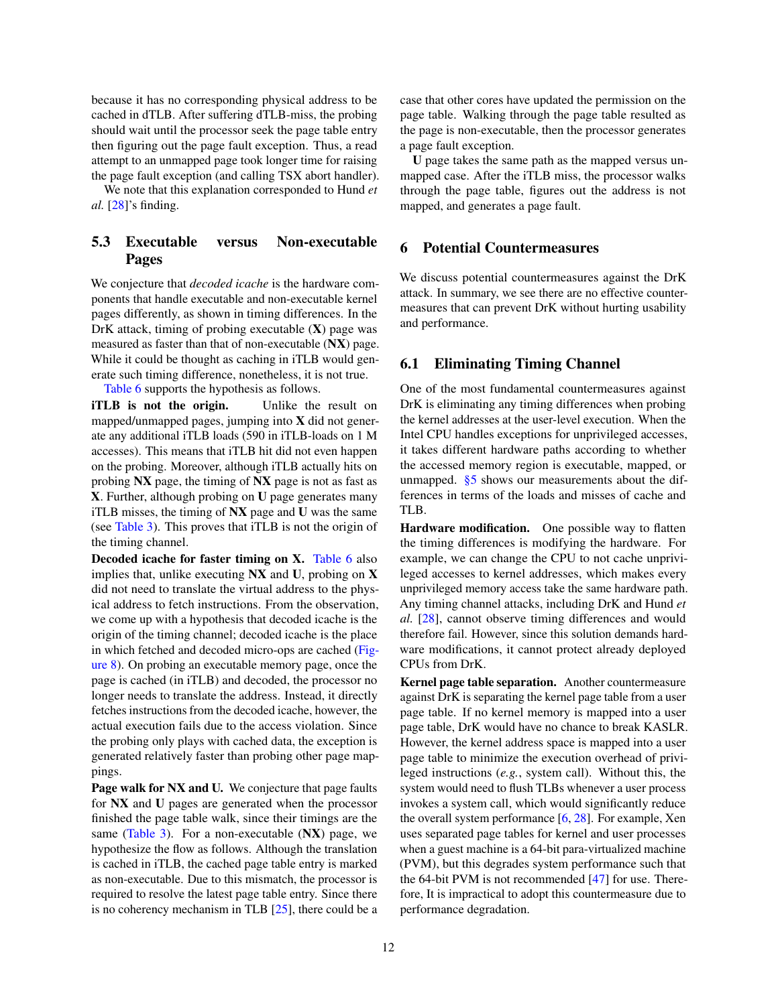because it has no corresponding physical address to be cached in dTLB. After suffering dTLB-miss, the probing should wait until the processor seek the page table entry then figuring out the page fault exception. Thus, a read attempt to an unmapped page took longer time for raising the page fault exception (and calling TSX abort handler).

We note that this explanation corresponded to Hund *et al.* [\[28\]](#page-15-7)'s finding.

# <span id="page-11-1"></span>5.3 Executable versus Non-executable Pages

We conjecture that *decoded icache* is the hardware components that handle executable and non-executable kernel pages differently, as shown in timing differences. In the DrK attack, timing of probing executable (X) page was measured as faster than that of non-executable (NX) page. While it could be thought as caching in iTLB would generate such timing difference, nonetheless, it is not true.

[Table 6](#page-10-4) supports the hypothesis as follows.

**iTLB** is not the origin. Unlike the result on mapped/unmapped pages, jumping into  $X$  did not generate any additional iTLB loads (590 in iTLB-loads on 1 M accesses). This means that iTLB hit did not even happen on the probing. Moreover, although iTLB actually hits on probing NX page, the timing of NX page is not as fast as X. Further, although probing on U page generates many iTLB misses, the timing of  $\bf{N}X$  page and U was the same (see [Table 3\)](#page-5-2). This proves that iTLB is not the origin of the timing channel.

Decoded icache for faster timing on X. [Table 6](#page-10-4) also implies that, unlike executing  $N X$  and U, probing on X did not need to translate the virtual address to the physical address to fetch instructions. From the observation, we come up with a hypothesis that decoded icache is the origin of the timing channel; decoded icache is the place in which fetched and decoded micro-ops are cached [\(Fig](#page-10-3)[ure 8\)](#page-10-3). On probing an executable memory page, once the page is cached (in iTLB) and decoded, the processor no longer needs to translate the address. Instead, it directly fetches instructions from the decoded icache, however, the actual execution fails due to the access violation. Since the probing only plays with cached data, the exception is generated relatively faster than probing other page mappings.

Page walk for NX and U. We conjecture that page faults for NX and U pages are generated when the processor finished the page table walk, since their timings are the same [\(Table 3\)](#page-5-2). For a non-executable  $(NX)$  page, we hypothesize the flow as follows. Although the translation is cached in iTLB, the cached page table entry is marked as non-executable. Due to this mismatch, the processor is required to resolve the latest page table entry. Since there is no coherency mechanism in TLB [\[25\]](#page-14-5), there could be a case that other cores have updated the permission on the page table. Walking through the page table resulted as the page is non-executable, then the processor generates a page fault exception.

U page takes the same path as the mapped versus unmapped case. After the iTLB miss, the processor walks through the page table, figures out the address is not mapped, and generates a page fault.

# <span id="page-11-0"></span>6 Potential Countermeasures

We discuss potential countermeasures against the DrK attack. In summary, we see there are no effective countermeasures that can prevent DrK without hurting usability and performance.

# 6.1 Eliminating Timing Channel

One of the most fundamental countermeasures against DrK is eliminating any timing differences when probing the kernel addresses at the user-level execution. When the Intel CPU handles exceptions for unprivileged accesses, it takes different hardware paths according to whether the accessed memory region is executable, mapped, or unmapped. [§5](#page-10-0) shows our measurements about the differences in terms of the loads and misses of cache and TLB.

Hardware modification. One possible way to flatten the timing differences is modifying the hardware. For example, we can change the CPU to not cache unprivileged accesses to kernel addresses, which makes every unprivileged memory access take the same hardware path. Any timing channel attacks, including DrK and Hund *et al.* [\[28\]](#page-15-7), cannot observe timing differences and would therefore fail. However, since this solution demands hardware modifications, it cannot protect already deployed CPUs from DrK.

Kernel page table separation. Another countermeasure against DrK is separating the kernel page table from a user page table. If no kernel memory is mapped into a user page table, DrK would have no chance to break KASLR. However, the kernel address space is mapped into a user page table to minimize the execution overhead of privileged instructions (*e.g.*, system call). Without this, the system would need to flush TLBs whenever a user process invokes a system call, which would significantly reduce the overall system performance [\[6,](#page-14-6) [28\]](#page-15-7). For example, Xen uses separated page tables for kernel and user processes when a guest machine is a 64-bit para-virtualized machine (PVM), but this degrades system performance such that the 64-bit PVM is not recommended [\[47\]](#page-15-18) for use. Therefore, It is impractical to adopt this countermeasure due to performance degradation.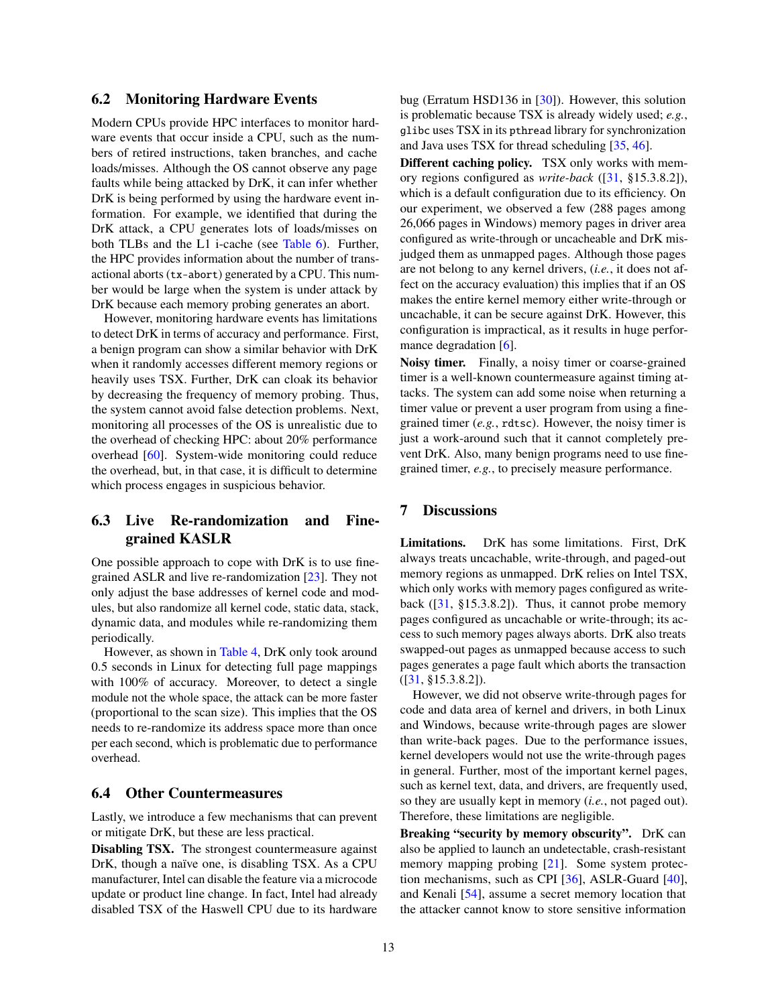## 6.2 Monitoring Hardware Events

Modern CPUs provide HPC interfaces to monitor hardware events that occur inside a CPU, such as the numbers of retired instructions, taken branches, and cache loads/misses. Although the OS cannot observe any page faults while being attacked by DrK, it can infer whether DrK is being performed by using the hardware event information. For example, we identified that during the DrK attack, a CPU generates lots of loads/misses on both TLBs and the L1 i-cache (see [Table 6\)](#page-10-4). Further, the HPC provides information about the number of transactional aborts (tx-abort) generated by a CPU. This number would be large when the system is under attack by DrK because each memory probing generates an abort.

However, monitoring hardware events has limitations to detect DrK in terms of accuracy and performance. First, a benign program can show a similar behavior with DrK when it randomly accesses different memory regions or heavily uses TSX. Further, DrK can cloak its behavior by decreasing the frequency of memory probing. Thus, the system cannot avoid false detection problems. Next, monitoring all processes of the OS is unrealistic due to the overhead of checking HPC: about 20% performance overhead [\[60\]](#page-15-19). System-wide monitoring could reduce the overhead, but, in that case, it is difficult to determine which process engages in suspicious behavior.

# 6.3 Live Re-randomization and Finegrained KASLR

One possible approach to cope with DrK is to use finegrained ASLR and live re-randomization [\[23\]](#page-14-7). They not only adjust the base addresses of kernel code and modules, but also randomize all kernel code, static data, stack, dynamic data, and modules while re-randomizing them periodically.

However, as shown in [Table 4,](#page-7-0) DrK only took around 0.5 seconds in Linux for detecting full page mappings with 100% of accuracy. Moreover, to detect a single module not the whole space, the attack can be more faster (proportional to the scan size). This implies that the OS needs to re-randomize its address space more than once per each second, which is problematic due to performance overhead.

# 6.4 Other Countermeasures

Lastly, we introduce a few mechanisms that can prevent or mitigate DrK, but these are less practical.

Disabling TSX. The strongest countermeasure against DrK, though a naïve one, is disabling TSX. As a CPU manufacturer, Intel can disable the feature via a microcode update or product line change. In fact, Intel had already disabled TSX of the Haswell CPU due to its hardware bug (Erratum HSD136 in [\[30\]](#page-15-20)). However, this solution is problematic because TSX is already widely used; *e.g.*, glibc uses TSX in its pthread library for synchronization and Java uses TSX for thread scheduling [\[35,](#page-15-21) [46\]](#page-15-22).

Different caching policy. TSX only works with memory regions configured as *write-back* ([\[31,](#page-15-16) §15.3.8.2]), which is a default configuration due to its efficiency. On our experiment, we observed a few (288 pages among 26,066 pages in Windows) memory pages in driver area configured as write-through or uncacheable and DrK misjudged them as unmapped pages. Although those pages are not belong to any kernel drivers, (*i.e.*, it does not affect on the accuracy evaluation) this implies that if an OS makes the entire kernel memory either write-through or uncachable, it can be secure against DrK. However, this configuration is impractical, as it results in huge perfor-mance degradation [\[6\]](#page-14-6).

Noisy timer. Finally, a noisy timer or coarse-grained timer is a well-known countermeasure against timing attacks. The system can add some noise when returning a timer value or prevent a user program from using a finegrained timer (*e.g.*, rdtsc). However, the noisy timer is just a work-around such that it cannot completely prevent DrK. Also, many benign programs need to use finegrained timer, *e.g.*, to precisely measure performance.

# <span id="page-12-0"></span>7 Discussions

Limitations. DrK has some limitations. First, DrK always treats uncachable, write-through, and paged-out memory regions as unmapped. DrK relies on Intel TSX, which only works with memory pages configured as writeback  $([31, §15.3.8.2])$  $([31, §15.3.8.2])$  $([31, §15.3.8.2])$ . Thus, it cannot probe memory pages configured as uncachable or write-through; its access to such memory pages always aborts. DrK also treats swapped-out pages as unmapped because access to such pages generates a page fault which aborts the transaction  $([31, $15.3.8.2])$  $([31, $15.3.8.2])$  $([31, $15.3.8.2])$ .

However, we did not observe write-through pages for code and data area of kernel and drivers, in both Linux and Windows, because write-through pages are slower than write-back pages. Due to the performance issues, kernel developers would not use the write-through pages in general. Further, most of the important kernel pages, such as kernel text, data, and drivers, are frequently used, so they are usually kept in memory (*i.e.*, not paged out). Therefore, these limitations are negligible.

Breaking "security by memory obscurity". DrK can also be applied to launch an undetectable, crash-resistant memory mapping probing [\[21\]](#page-14-8). Some system protection mechanisms, such as CPI [\[36\]](#page-15-23), ASLR-Guard [\[40\]](#page-15-24), and Kenali [\[54\]](#page-15-25), assume a secret memory location that the attacker cannot know to store sensitive information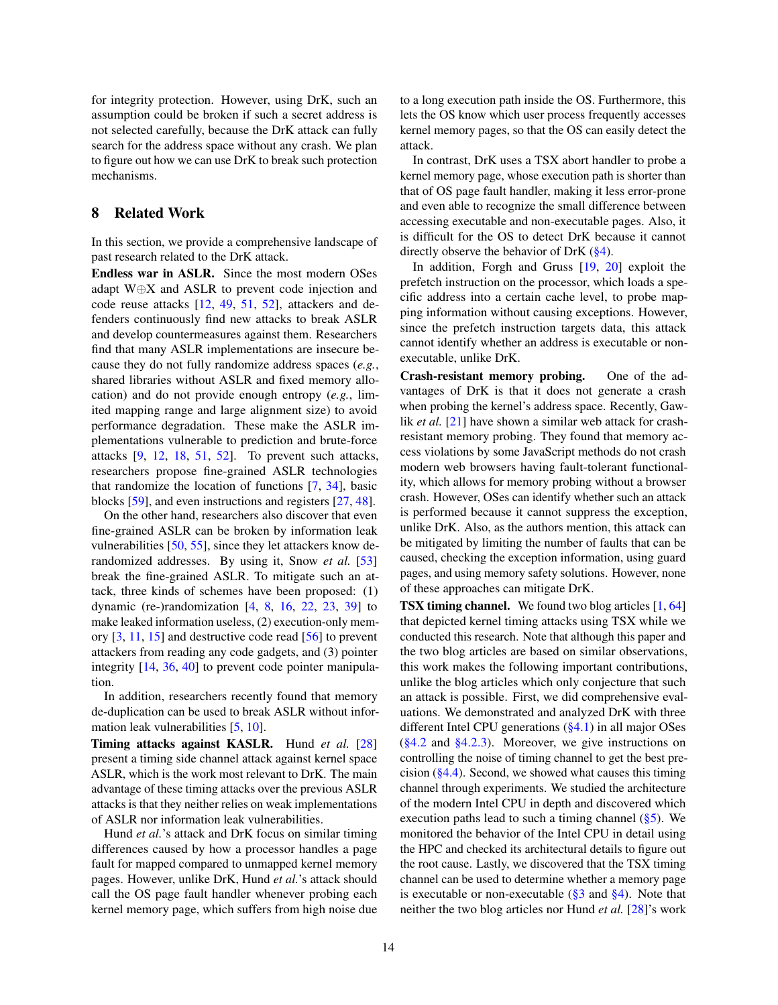for integrity protection. However, using DrK, such an assumption could be broken if such a secret address is not selected carefully, because the DrK attack can fully search for the address space without any crash. We plan to figure out how we can use DrK to break such protection mechanisms.

# <span id="page-13-0"></span>8 Related Work

In this section, we provide a comprehensive landscape of past research related to the DrK attack.

Endless war in ASLR. Since the most modern OSes adapt W⊕X and ASLR to prevent code injection and code reuse attacks [\[12,](#page-14-9) [49,](#page-15-26) [51,](#page-15-27) [52\]](#page-15-28), attackers and defenders continuously find new attacks to break ASLR and develop countermeasures against them. Researchers find that many ASLR implementations are insecure because they do not fully randomize address spaces (*e.g.*, shared libraries without ASLR and fixed memory allocation) and do not provide enough entropy (*e.g.*, limited mapping range and large alignment size) to avoid performance degradation. These make the ASLR implementations vulnerable to prediction and brute-force attacks  $[9, 12, 18, 51, 52]$  $[9, 12, 18, 51, 52]$  $[9, 12, 18, 51, 52]$  $[9, 12, 18, 51, 52]$  $[9, 12, 18, 51, 52]$  $[9, 12, 18, 51, 52]$  $[9, 12, 18, 51, 52]$  $[9, 12, 18, 51, 52]$  $[9, 12, 18, 51, 52]$ . To prevent such attacks, researchers propose fine-grained ASLR technologies that randomize the location of functions [\[7,](#page-14-12) [34\]](#page-15-29), basic blocks [\[59\]](#page-15-30), and even instructions and registers [\[27,](#page-15-31) [48\]](#page-15-32).

On the other hand, researchers also discover that even fine-grained ASLR can be broken by information leak vulnerabilities [\[50,](#page-15-33) [55\]](#page-15-34), since they let attackers know derandomized addresses. By using it, Snow *et al.* [\[53\]](#page-15-35) break the fine-grained ASLR. To mitigate such an attack, three kinds of schemes have been proposed: (1) dynamic (re-)randomization [\[4,](#page-14-13) [8,](#page-14-14) [16,](#page-14-15) [22,](#page-14-16) [23,](#page-14-7) [39\]](#page-15-36) to make leaked information useless, (2) execution-only memory [\[3,](#page-14-17) [11,](#page-14-18) [15\]](#page-14-19) and destructive code read [\[56\]](#page-15-37) to prevent attackers from reading any code gadgets, and (3) pointer integrity [\[14,](#page-14-20) [36,](#page-15-23) [40\]](#page-15-24) to prevent code pointer manipulation.

In addition, researchers recently found that memory de-duplication can be used to break ASLR without information leak vulnerabilities [\[5,](#page-14-21) [10\]](#page-14-22).

Timing attacks against KASLR. Hund *et al.* [\[28\]](#page-15-7) present a timing side channel attack against kernel space ASLR, which is the work most relevant to DrK. The main advantage of these timing attacks over the previous ASLR attacks is that they neither relies on weak implementations of ASLR nor information leak vulnerabilities.

Hund *et al.*'s attack and DrK focus on similar timing differences caused by how a processor handles a page fault for mapped compared to unmapped kernel memory pages. However, unlike DrK, Hund *et al.*'s attack should call the OS page fault handler whenever probing each kernel memory page, which suffers from high noise due to a long execution path inside the OS. Furthermore, this lets the OS know which user process frequently accesses kernel memory pages, so that the OS can easily detect the attack.

In contrast, DrK uses a TSX abort handler to probe a kernel memory page, whose execution path is shorter than that of OS page fault handler, making it less error-prone and even able to recognize the small difference between accessing executable and non-executable pages. Also, it is difficult for the OS to detect DrK because it cannot directly observe the behavior of DrK  $(\frac{6}{9}4)$ .

In addition, Forgh and Gruss [\[19,](#page-14-23) [20\]](#page-14-24) exploit the prefetch instruction on the processor, which loads a specific address into a certain cache level, to probe mapping information without causing exceptions. However, since the prefetch instruction targets data, this attack cannot identify whether an address is executable or nonexecutable, unlike DrK.

Crash-resistant memory probing. One of the advantages of DrK is that it does not generate a crash when probing the kernel's address space. Recently, Gawlik *et al.* [\[21\]](#page-14-8) have shown a similar web attack for crashresistant memory probing. They found that memory access violations by some JavaScript methods do not crash modern web browsers having fault-tolerant functionality, which allows for memory probing without a browser crash. However, OSes can identify whether such an attack is performed because it cannot suppress the exception, unlike DrK. Also, as the authors mention, this attack can be mitigated by limiting the number of faults that can be caused, checking the exception information, using guard pages, and using memory safety solutions. However, none of these approaches can mitigate DrK.

TSX timing channel. We found two blog articles [\[1,](#page-14-25) [64\]](#page-15-38) that depicted kernel timing attacks using TSX while we conducted this research. Note that although this paper and the two blog articles are based on similar observations, this work makes the following important contributions, unlike the blog articles which only conjecture that such an attack is possible. First, we did comprehensive evaluations. We demonstrated and analyzed DrK with three different Intel CPU generations  $(\S 4.1)$  in all major OSes  $(\S 4.2$  and  $\S 4.2.3)$ . Moreover, we give instructions on controlling the noise of timing channel to get the best precision  $(\S 4.4)$ . Second, we showed what causes this timing channel through experiments. We studied the architecture of the modern Intel CPU in depth and discovered which execution paths lead to such a timing channel  $(\frac{8}{5})$ . We monitored the behavior of the Intel CPU in detail using the HPC and checked its architectural details to figure out the root cause. Lastly, we discovered that the TSX timing channel can be used to determine whether a memory page is executable or non-executable  $(\S 3$  and  $\S 4)$ . Note that neither the two blog articles nor Hund *et al.* [\[28\]](#page-15-7)'s work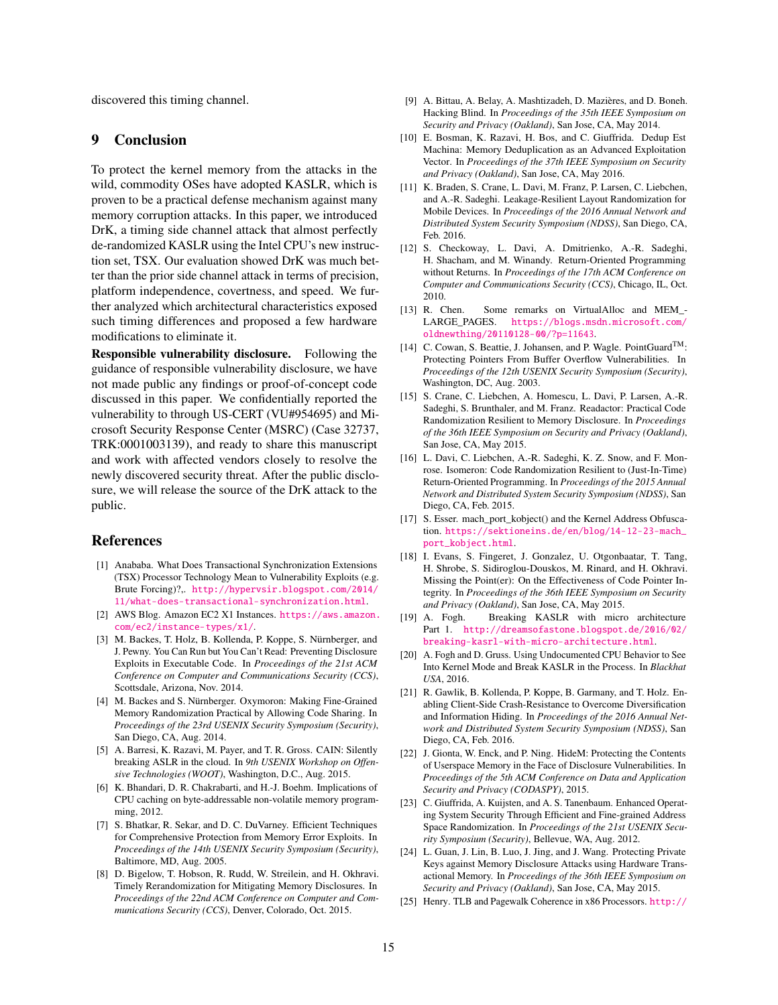discovered this timing channel.

# <span id="page-14-2"></span>9 Conclusion

To protect the kernel memory from the attacks in the wild, commodity OSes have adopted KASLR, which is proven to be a practical defense mechanism against many memory corruption attacks. In this paper, we introduced DrK, a timing side channel attack that almost perfectly de-randomized KASLR using the Intel CPU's new instruction set, TSX. Our evaluation showed DrK was much better than the prior side channel attack in terms of precision, platform independence, covertness, and speed. We further analyzed which architectural characteristics exposed such timing differences and proposed a few hardware modifications to eliminate it.

Responsible vulnerability disclosure. Following the guidance of responsible vulnerability disclosure, we have not made public any findings or proof-of-concept code discussed in this paper. We confidentially reported the vulnerability to through US-CERT (VU#954695) and Microsoft Security Response Center (MSRC) (Case 32737, TRK:0001003139), and ready to share this manuscript and work with affected vendors closely to resolve the newly discovered security threat. After the public disclosure, we will release the source of the DrK attack to the public.

# References

- <span id="page-14-25"></span>[1] Anababa. What Does Transactional Synchronization Extensions (TSX) Processor Technology Mean to Vulnerability Exploits (e.g. Brute Forcing)?,. [http://hypervsir.blogspot.com/2014/](http://hypervsir.blogspot.com/2014/11/what-does-transactional-synchronization.html) [11/what-does-transactional-synchronization.html](http://hypervsir.blogspot.com/2014/11/what-does-transactional-synchronization.html).
- <span id="page-14-4"></span>[2] AWS Blog. Amazon EC2 X1 Instances. [https://aws.amazon.](https://aws.amazon.com/ec2/instance-types/x1/) [com/ec2/instance-types/x1/](https://aws.amazon.com/ec2/instance-types/x1/).
- <span id="page-14-17"></span>[3] M. Backes, T. Holz, B. Kollenda, P. Koppe, S. Nürnberger, and J. Pewny. You Can Run but You Can't Read: Preventing Disclosure Exploits in Executable Code. In *Proceedings of the 21st ACM Conference on Computer and Communications Security (CCS)*, Scottsdale, Arizona, Nov. 2014.
- <span id="page-14-13"></span>[4] M. Backes and S. Nürnberger. Oxymoron: Making Fine-Grained Memory Randomization Practical by Allowing Code Sharing. In *Proceedings of the 23rd USENIX Security Symposium (Security)*, San Diego, CA, Aug. 2014.
- <span id="page-14-21"></span>[5] A. Barresi, K. Razavi, M. Payer, and T. R. Gross. CAIN: Silently breaking ASLR in the cloud. In *9th USENIX Workshop on Offensive Technologies (WOOT)*, Washington, D.C., Aug. 2015.
- <span id="page-14-6"></span>[6] K. Bhandari, D. R. Chakrabarti, and H.-J. Boehm. Implications of CPU caching on byte-addressable non-volatile memory programming, 2012.
- <span id="page-14-12"></span>[7] S. Bhatkar, R. Sekar, and D. C. DuVarney. Efficient Techniques for Comprehensive Protection from Memory Error Exploits. In *Proceedings of the 14th USENIX Security Symposium (Security)*, Baltimore, MD, Aug. 2005.
- <span id="page-14-14"></span>[8] D. Bigelow, T. Hobson, R. Rudd, W. Streilein, and H. Okhravi. Timely Rerandomization for Mitigating Memory Disclosures. In *Proceedings of the 22nd ACM Conference on Computer and Communications Security (CCS)*, Denver, Colorado, Oct. 2015.
- <span id="page-14-10"></span>[9] A. Bittau, A. Belay, A. Mashtizadeh, D. Mazières, and D. Boneh. Hacking Blind. In *Proceedings of the 35th IEEE Symposium on Security and Privacy (Oakland)*, San Jose, CA, May 2014.
- <span id="page-14-22"></span>[10] E. Bosman, K. Razavi, H. Bos, and C. Giuffrida. Dedup Est Machina: Memory Deduplication as an Advanced Exploitation Vector. In *Proceedings of the 37th IEEE Symposium on Security and Privacy (Oakland)*, San Jose, CA, May 2016.
- <span id="page-14-18"></span>[11] K. Braden, S. Crane, L. Davi, M. Franz, P. Larsen, C. Liebchen, and A.-R. Sadeghi. Leakage-Resilient Layout Randomization for Mobile Devices. In *Proceedings of the 2016 Annual Network and Distributed System Security Symposium (NDSS)*, San Diego, CA, Feb. 2016.
- <span id="page-14-9"></span>[12] S. Checkoway, L. Davi, A. Dmitrienko, A.-R. Sadeghi, H. Shacham, and M. Winandy. Return-Oriented Programming without Returns. In *Proceedings of the 17th ACM Conference on Computer and Communications Security (CCS)*, Chicago, IL, Oct. 2010.
- <span id="page-14-1"></span>[13] R. Chen. Some remarks on VirtualAlloc and MEM\_- LARGE\_PAGES. [https://blogs.msdn.microsoft.com/](https://blogs.msdn.microsoft.com/oldnewthing/20110128-00/?p=11643) [oldnewthing/20110128-00/?p=11643](https://blogs.msdn.microsoft.com/oldnewthing/20110128-00/?p=11643).
- <span id="page-14-20"></span>[14] C. Cowan, S. Beattie, J. Johansen, and P. Wagle. PointGuard<sup>TM</sup>: Protecting Pointers From Buffer Overflow Vulnerabilities. In *Proceedings of the 12th USENIX Security Symposium (Security)*, Washington, DC, Aug. 2003.
- <span id="page-14-19"></span>[15] S. Crane, C. Liebchen, A. Homescu, L. Davi, P. Larsen, A.-R. Sadeghi, S. Brunthaler, and M. Franz. Readactor: Practical Code Randomization Resilient to Memory Disclosure. In *Proceedings of the 36th IEEE Symposium on Security and Privacy (Oakland)*, San Jose, CA, May 2015.
- <span id="page-14-15"></span>[16] L. Davi, C. Liebchen, A.-R. Sadeghi, K. Z. Snow, and F. Monrose. Isomeron: Code Randomization Resilient to (Just-In-Time) Return-Oriented Programming. In *Proceedings of the 2015 Annual Network and Distributed System Security Symposium (NDSS)*, San Diego, CA, Feb. 2015.
- <span id="page-14-0"></span>[17] S. Esser. mach\_port\_kobject() and the Kernel Address Obfuscation. [https://sektioneins.de/en/blog/14-12-23-mach\\_](https://sektioneins.de/en/blog/14-12-23-mach_port_kobject.html) [port\\_kobject.html](https://sektioneins.de/en/blog/14-12-23-mach_port_kobject.html).
- <span id="page-14-11"></span>[18] I. Evans, S. Fingeret, J. Gonzalez, U. Otgonbaatar, T. Tang, H. Shrobe, S. Sidiroglou-Douskos, M. Rinard, and H. Okhravi. Missing the Point(er): On the Effectiveness of Code Pointer Integrity. In *Proceedings of the 36th IEEE Symposium on Security and Privacy (Oakland)*, San Jose, CA, May 2015.
- <span id="page-14-23"></span>[19] A. Fogh. Breaking KASLR with micro architecture Part 1. [http://dreamsofastone.blogspot.de/2016/02/](http://dreamsofastone.blogspot.de/2016/02/breaking-kasrl-with-micro-architecture.html) [breaking-kasrl-with-micro-architecture.html](http://dreamsofastone.blogspot.de/2016/02/breaking-kasrl-with-micro-architecture.html).
- <span id="page-14-24"></span>[20] A. Fogh and D. Gruss. Using Undocumented CPU Behavior to See Into Kernel Mode and Break KASLR in the Process. In *Blackhat USA*, 2016.
- <span id="page-14-8"></span>[21] R. Gawlik, B. Kollenda, P. Koppe, B. Garmany, and T. Holz. Enabling Client-Side Crash-Resistance to Overcome Diversification and Information Hiding. In *Proceedings of the 2016 Annual Network and Distributed System Security Symposium (NDSS)*, San Diego, CA, Feb. 2016.
- <span id="page-14-16"></span>[22] J. Gionta, W. Enck, and P. Ning. HideM: Protecting the Contents of Userspace Memory in the Face of Disclosure Vulnerabilities. In *Proceedings of the 5th ACM Conference on Data and Application Security and Privacy (CODASPY)*, 2015.
- <span id="page-14-7"></span>[23] C. Giuffrida, A. Kuijsten, and A. S. Tanenbaum. Enhanced Operating System Security Through Efficient and Fine-grained Address Space Randomization. In *Proceedings of the 21st USENIX Security Symposium (Security)*, Bellevue, WA, Aug. 2012.
- <span id="page-14-3"></span>[24] L. Guan, J. Lin, B. Luo, J. Jing, and J. Wang. Protecting Private Keys against Memory Disclosure Attacks using Hardware Transactional Memory. In *Proceedings of the 36th IEEE Symposium on Security and Privacy (Oakland)*, San Jose, CA, May 2015.
- <span id="page-14-5"></span>[25] Henry. TLB and Pagewalk Coherence in x86 Processors. [http://](http://blog.stuffedcow.net/2015/08/pagewalk-coherence/)